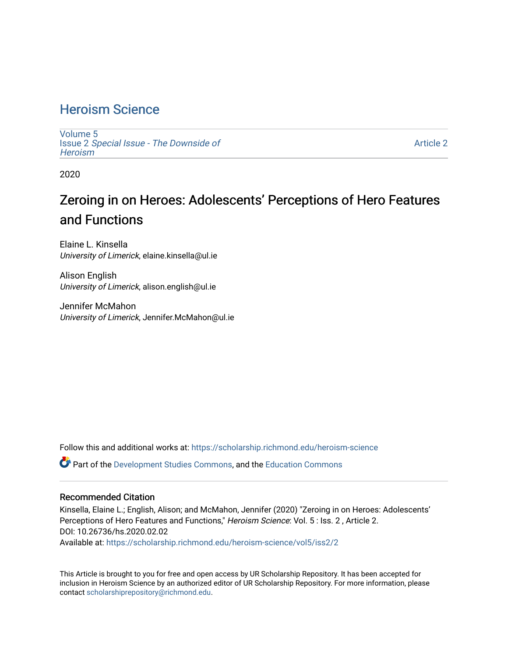### [Heroism Science](https://scholarship.richmond.edu/heroism-science)

[Volume 5](https://scholarship.richmond.edu/heroism-science/vol5) Issue 2 [Special Issue - The Downside of](https://scholarship.richmond.edu/heroism-science/vol5/iss2)  **Heroism** 

[Article 2](https://scholarship.richmond.edu/heroism-science/vol5/iss2/2) 

2020

# Zeroing in on Heroes: Adolescents' Perceptions of Hero Features and Functions

Elaine L. Kinsella University of Limerick, elaine.kinsella@ul.ie

Alison English University of Limerick, alison.english@ul.ie

Jennifer McMahon University of Limerick, Jennifer.McMahon@ul.ie

Follow this and additional works at: [https://scholarship.richmond.edu/heroism-science](https://scholarship.richmond.edu/heroism-science?utm_source=scholarship.richmond.edu%2Fheroism-science%2Fvol5%2Fiss2%2F2&utm_medium=PDF&utm_campaign=PDFCoverPages) 

Part of the [Development Studies Commons,](http://network.bepress.com/hgg/discipline/1422?utm_source=scholarship.richmond.edu%2Fheroism-science%2Fvol5%2Fiss2%2F2&utm_medium=PDF&utm_campaign=PDFCoverPages) and the [Education Commons](http://network.bepress.com/hgg/discipline/784?utm_source=scholarship.richmond.edu%2Fheroism-science%2Fvol5%2Fiss2%2F2&utm_medium=PDF&utm_campaign=PDFCoverPages) 

#### Recommended Citation

Kinsella, Elaine L.; English, Alison; and McMahon, Jennifer (2020) "Zeroing in on Heroes: Adolescents' Perceptions of Hero Features and Functions," Heroism Science: Vol. 5 : Iss. 2 , Article 2. DOI: 10.26736/hs.2020.02.02 Available at: [https://scholarship.richmond.edu/heroism-science/vol5/iss2/2](https://scholarship.richmond.edu/heroism-science/vol5/iss2/2?utm_source=scholarship.richmond.edu%2Fheroism-science%2Fvol5%2Fiss2%2F2&utm_medium=PDF&utm_campaign=PDFCoverPages)

This Article is brought to you for free and open access by UR Scholarship Repository. It has been accepted for inclusion in Heroism Science by an authorized editor of UR Scholarship Repository. For more information, please contact [scholarshiprepository@richmond.edu](mailto:scholarshiprepository@richmond.edu).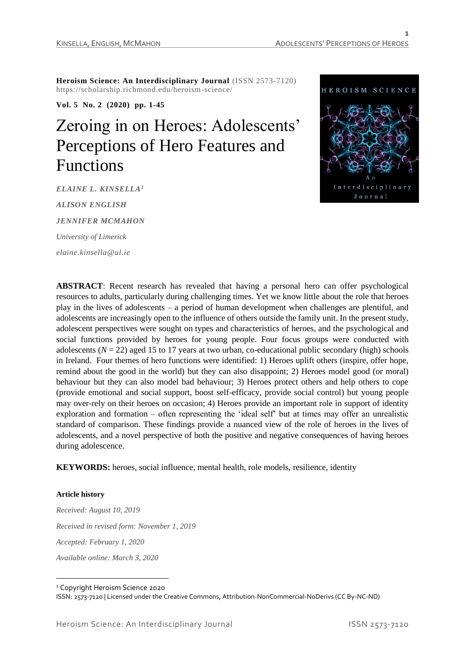**Heroism Science: An Interdisciplinary Journal** (ISSN 2573-7120) https://scholarship.richmond.edu/heroism-science/

**Vol. 5 No. 2 (2020) pp. 1-45**

# Zeroing in on Heroes: Adolescents' Perceptions of Hero Features and Functions

*ELAINE L. KINSELLA<sup>1</sup> ALISON ENGLISH JENNIFER MCMAHON University of Limerick elaine.kinsella@ul.ie*



**ABSTRACT**: Recent research has revealed that having a personal hero can offer psychological resources to adults, particularly during challenging times. Yet we know little about the role that heroes play in the lives of adolescents – a period of human development when challenges are plentiful, and adolescents are increasingly open to the influence of others outside the family unit. In the present study, adolescent perspectives were sought on types and characteristics of heroes, and the psychological and social functions provided by heroes for young people. Four focus groups were conducted with adolescents  $(N = 22)$  aged 15 to 17 years at two urban, co-educational public secondary (high) schools in Ireland. Four themes of hero functions were identified: 1) Heroes uplift others (inspire, offer hope, remind about the good in the world) but they can also disappoint; 2) Heroes model good (or moral) behaviour but they can also model bad behaviour; 3) Heroes protect others and help others to cope (provide emotional and social support, boost self-efficacy, provide social control) but young people may over-rely on their heroes on occasion; 4) Heroes provide an important role in support of identity exploration and formation – often representing the 'ideal self' but at times may offer an unrealistic standard of comparison. These findings provide a nuanced view of the role of heroes in the lives of adolescents, and a novel perspective of both the positive and negative consequences of having heroes during adolescence.

**KEYWORDS:** heroes, social influence, mental health, role models, resilience, identity

#### **Article history**

*Received: August 10, 2019 Received in revised form: November 1, 2019 Accepted: February 1, 2020 Available online: March 3, 2020*

<sup>1</sup> Copyright Heroism Science 2020

ISSN: 2573-7120 | Licensed under the Creative Commons, Attribution-NonCommercial-NoDerivs (CC By-NC-ND)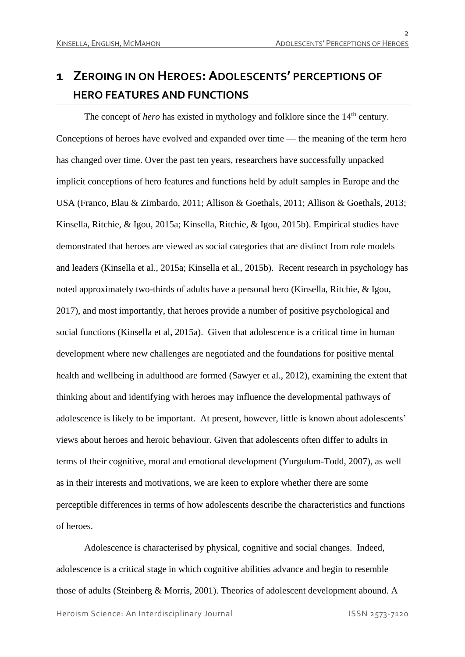# **1 ZEROING IN ON HEROES: ADOLESCENTS' PERCEPTIONS OF HERO FEATURES AND FUNCTIONS**

The concept of *hero* has existed in mythology and folklore since the 14<sup>th</sup> century. Conceptions of heroes have evolved and expanded over time — the meaning of the term hero has changed over time. Over the past ten years, researchers have successfully unpacked implicit conceptions of hero features and functions held by adult samples in Europe and the USA (Franco, Blau & Zimbardo, 2011; Allison & Goethals, 2011; Allison & Goethals, 2013; Kinsella, Ritchie, & Igou, 2015a; Kinsella, Ritchie, & Igou, 2015b). Empirical studies have demonstrated that heroes are viewed as social categories that are distinct from role models and leaders (Kinsella et al., 2015a; Kinsella et al., 2015b). Recent research in psychology has noted approximately two-thirds of adults have a personal hero (Kinsella, Ritchie, & Igou, 2017), and most importantly, that heroes provide a number of positive psychological and social functions (Kinsella et al, 2015a). Given that adolescence is a critical time in human development where new challenges are negotiated and the foundations for positive mental health and wellbeing in adulthood are formed (Sawyer et al., 2012), examining the extent that thinking about and identifying with heroes may influence the developmental pathways of adolescence is likely to be important. At present, however, little is known about adolescents' views about heroes and heroic behaviour. Given that adolescents often differ to adults in terms of their cognitive, moral and emotional development (Yurgulum-Todd, 2007), as well as in their interests and motivations, we are keen to explore whether there are some perceptible differences in terms of how adolescents describe the characteristics and functions of heroes.

Heroism Science: An Interdisciplinary Journal ISSN 2573-7120 Adolescence is characterised by physical, cognitive and social changes. Indeed, adolescence is a critical stage in which cognitive abilities advance and begin to resemble those of adults (Steinberg & Morris, 2001). Theories of adolescent development abound. A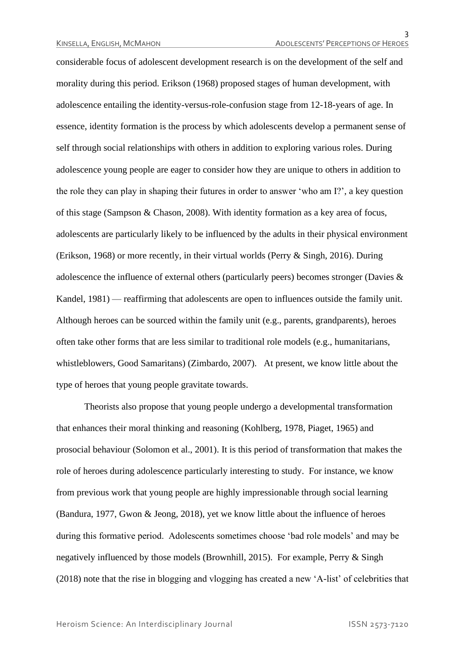considerable focus of adolescent development research is on the development of the self and morality during this period. Erikson (1968) proposed stages of human development, with adolescence entailing the identity-versus-role-confusion stage from 12-18-years of age. In essence, identity formation is the process by which adolescents develop a permanent sense of self through social relationships with others in addition to exploring various roles. During adolescence young people are eager to consider how they are unique to others in addition to the role they can play in shaping their futures in order to answer 'who am I?', a key question of this stage (Sampson & Chason, 2008). With identity formation as a key area of focus, adolescents are particularly likely to be influenced by the adults in their physical environment (Erikson, 1968) or more recently, in their virtual worlds (Perry & Singh, 2016). During adolescence the influence of external others (particularly peers) becomes stronger (Davies & Kandel, 1981) — reaffirming that adolescents are open to influences outside the family unit. Although heroes can be sourced within the family unit (e.g., parents, grandparents), heroes often take other forms that are less similar to traditional role models (e.g., humanitarians, whistleblowers, Good Samaritans) (Zimbardo, 2007). At present, we know little about the type of heroes that young people gravitate towards.

Theorists also propose that young people undergo a developmental transformation that enhances their moral thinking and reasoning (Kohlberg, 1978, Piaget, 1965) and prosocial behaviour (Solomon et al., 2001). It is this period of transformation that makes the role of heroes during adolescence particularly interesting to study. For instance, we know from previous work that young people are highly impressionable through social learning (Bandura, 1977, Gwon & Jeong, 2018), yet we know little about the influence of heroes during this formative period. Adolescents sometimes choose 'bad role models' and may be negatively influenced by those models (Brownhill, 2015). For example, Perry & Singh (2018) note that the rise in blogging and vlogging has created a new 'A-list' of celebrities that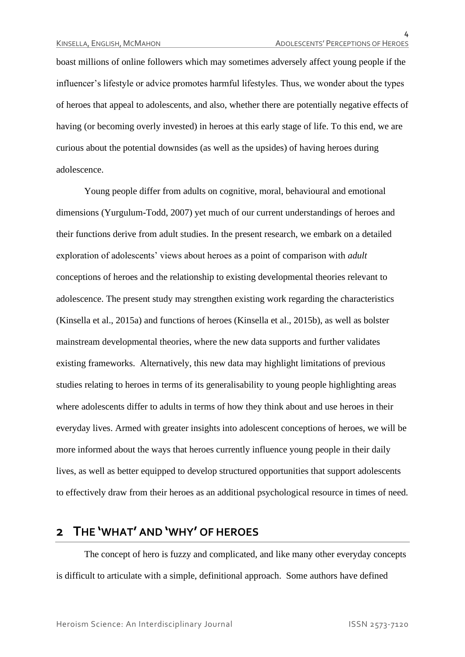boast millions of online followers which may sometimes adversely affect young people if the influencer's lifestyle or advice promotes harmful lifestyles. Thus, we wonder about the types of heroes that appeal to adolescents, and also, whether there are potentially negative effects of having (or becoming overly invested) in heroes at this early stage of life. To this end, we are curious about the potential downsides (as well as the upsides) of having heroes during adolescence.

Young people differ from adults on cognitive, moral, behavioural and emotional dimensions (Yurgulum-Todd, 2007) yet much of our current understandings of heroes and their functions derive from adult studies. In the present research, we embark on a detailed exploration of adolescents' views about heroes as a point of comparison with *adult* conceptions of heroes and the relationship to existing developmental theories relevant to adolescence. The present study may strengthen existing work regarding the characteristics (Kinsella et al., 2015a) and functions of heroes (Kinsella et al., 2015b), as well as bolster mainstream developmental theories, where the new data supports and further validates existing frameworks. Alternatively, this new data may highlight limitations of previous studies relating to heroes in terms of its generalisability to young people highlighting areas where adolescents differ to adults in terms of how they think about and use heroes in their everyday lives. Armed with greater insights into adolescent conceptions of heroes, we will be more informed about the ways that heroes currently influence young people in their daily lives, as well as better equipped to develop structured opportunities that support adolescents to effectively draw from their heroes as an additional psychological resource in times of need.

### **2 THE 'WHAT' AND 'WHY' OF HEROES**

The concept of hero is fuzzy and complicated, and like many other everyday concepts is difficult to articulate with a simple, definitional approach. Some authors have defined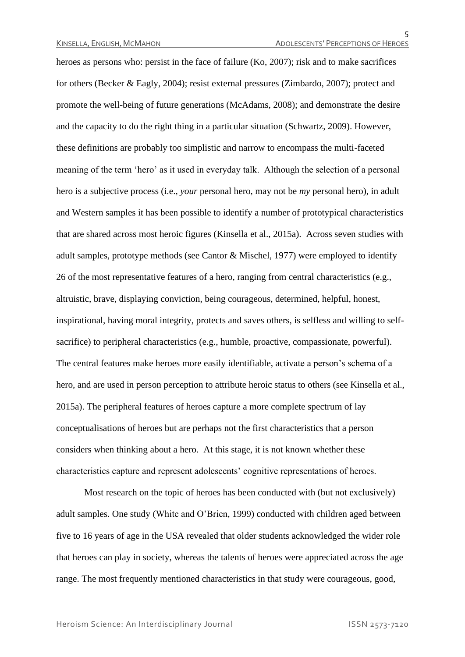heroes as persons who: persist in the face of failure (Ko, 2007); risk and to make sacrifices for others (Becker & Eagly, 2004); resist external pressures (Zimbardo, 2007); protect and promote the well-being of future generations (McAdams, 2008); and demonstrate the desire and the capacity to do the right thing in a particular situation (Schwartz, 2009). However, these definitions are probably too simplistic and narrow to encompass the multi-faceted meaning of the term 'hero' as it used in everyday talk. Although the selection of a personal hero is a subjective process (i.e., *your* personal hero, may not be *my* personal hero), in adult and Western samples it has been possible to identify a number of prototypical characteristics that are shared across most heroic figures (Kinsella et al., 2015a). Across seven studies with adult samples, prototype methods (see Cantor & Mischel, 1977) were employed to identify 26 of the most representative features of a hero, ranging from central characteristics (e.g., altruistic, brave, displaying conviction, being courageous, determined, helpful, honest, inspirational, having moral integrity, protects and saves others, is selfless and willing to selfsacrifice) to peripheral characteristics (e.g., humble, proactive, compassionate, powerful). The central features make heroes more easily identifiable, activate a person's schema of a hero, and are used in person perception to attribute heroic status to others (see Kinsella et al., 2015a). The peripheral features of heroes capture a more complete spectrum of lay conceptualisations of heroes but are perhaps not the first characteristics that a person considers when thinking about a hero. At this stage, it is not known whether these characteristics capture and represent adolescents' cognitive representations of heroes.

Most research on the topic of heroes has been conducted with (but not exclusively) adult samples. One study (White and O'Brien, 1999) conducted with children aged between five to 16 years of age in the USA revealed that older students acknowledged the wider role that heroes can play in society, whereas the talents of heroes were appreciated across the age range. The most frequently mentioned characteristics in that study were courageous, good,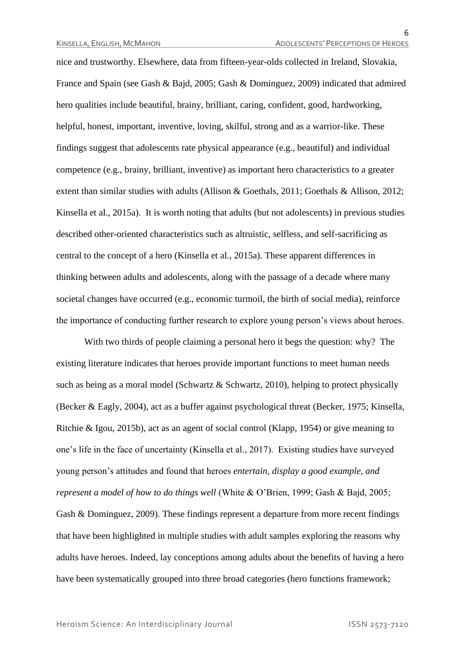nice and trustworthy. Elsewhere, data from fifteen-year-olds collected in Ireland, Slovakia, France and Spain (see Gash & Bajd, 2005; Gash & Dominguez, 2009) indicated that admired hero qualities include beautiful, brainy, brilliant, caring, confident, good, hardworking, helpful, honest, important, inventive, loving, skilful, strong and as a warrior-like. These findings suggest that adolescents rate physical appearance (e.g., beautiful) and individual competence (e.g., brainy, brilliant, inventive) as important hero characteristics to a greater extent than similar studies with adults (Allison & Goethals, 2011; Goethals & Allison, 2012; Kinsella et al., 2015a). It is worth noting that adults (but not adolescents) in previous studies described other-oriented characteristics such as altruistic, selfless, and self-sacrificing as central to the concept of a hero (Kinsella et al., 2015a). These apparent differences in thinking between adults and adolescents, along with the passage of a decade where many societal changes have occurred (e.g., economic turmoil, the birth of social media), reinforce the importance of conducting further research to explore young person's views about heroes.

With two thirds of people claiming a personal hero it begs the question: why? The existing literature indicates that heroes provide important functions to meet human needs such as being as a moral model (Schwartz & Schwartz, 2010), helping to protect physically (Becker & Eagly, 2004), act as a buffer against psychological threat (Becker, 1975; Kinsella, Ritchie & Igou, 2015b), act as an agent of social control (Klapp, 1954) or give meaning to one's life in the face of uncertainty (Kinsella et al., 2017). Existing studies have surveyed young person's attitudes and found that heroes *entertain, display a good example, and represent a model of how to do things well* (White & O'Brien, 1999; Gash & Bajd, 2005; Gash & Dominguez, 2009). These findings represent a departure from more recent findings that have been highlighted in multiple studies with adult samples exploring the reasons why adults have heroes. Indeed, lay conceptions among adults about the benefits of having a hero have been systematically grouped into three broad categories (hero functions framework;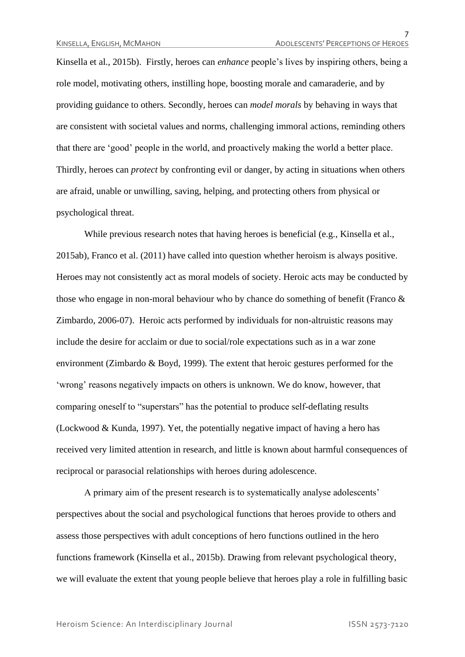Kinsella et al., 2015b). Firstly, heroes can *enhance* people's lives by inspiring others, being a role model, motivating others, instilling hope, boosting morale and camaraderie, and by providing guidance to others. Secondly, heroes can *model morals* by behaving in ways that are consistent with societal values and norms, challenging immoral actions, reminding others that there are 'good' people in the world, and proactively making the world a better place. Thirdly, heroes can *protect* by confronting evil or danger, by acting in situations when others are afraid, unable or unwilling, saving, helping, and protecting others from physical or psychological threat.

While previous research notes that having heroes is beneficial (e.g., Kinsella et al., 2015ab), Franco et al. (2011) have called into question whether heroism is always positive. Heroes may not consistently act as moral models of society. Heroic acts may be conducted by those who engage in non-moral behaviour who by chance do something of benefit (Franco & Zimbardo, 2006-07). Heroic acts performed by individuals for non-altruistic reasons may include the desire for acclaim or due to social/role expectations such as in a war zone environment (Zimbardo & Boyd, 1999). The extent that heroic gestures performed for the 'wrong' reasons negatively impacts on others is unknown. We do know, however, that comparing oneself to "superstars" has the potential to produce self-deflating results (Lockwood & Kunda, 1997). Yet, the potentially negative impact of having a hero has received very limited attention in research, and little is known about harmful consequences of reciprocal or parasocial relationships with heroes during adolescence.

A primary aim of the present research is to systematically analyse adolescents' perspectives about the social and psychological functions that heroes provide to others and assess those perspectives with adult conceptions of hero functions outlined in the hero functions framework (Kinsella et al., 2015b). Drawing from relevant psychological theory, we will evaluate the extent that young people believe that heroes play a role in fulfilling basic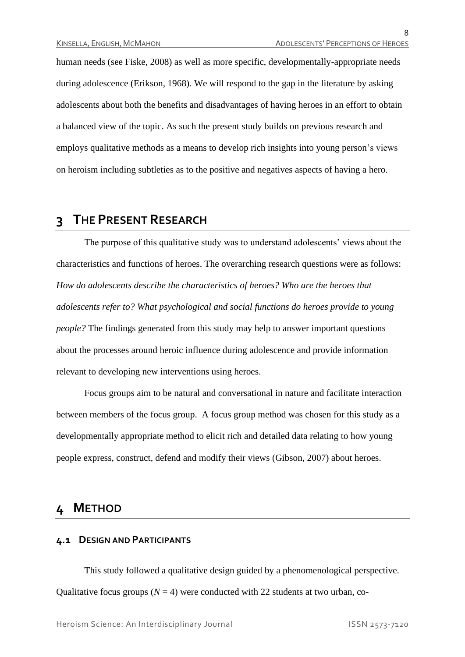human needs (see Fiske, 2008) as well as more specific, developmentally-appropriate needs during adolescence (Erikson, 1968). We will respond to the gap in the literature by asking adolescents about both the benefits and disadvantages of having heroes in an effort to obtain a balanced view of the topic. As such the present study builds on previous research and employs qualitative methods as a means to develop rich insights into young person's views on heroism including subtleties as to the positive and negatives aspects of having a hero.

### **3 THE PRESENT RESEARCH**

The purpose of this qualitative study was to understand adolescents' views about the characteristics and functions of heroes. The overarching research questions were as follows: *How do adolescents describe the characteristics of heroes? Who are the heroes that adolescents refer to? What psychological and social functions do heroes provide to young people?* The findings generated from this study may help to answer important questions about the processes around heroic influence during adolescence and provide information relevant to developing new interventions using heroes.

Focus groups aim to be natural and conversational in nature and facilitate interaction between members of the focus group. A focus group method was chosen for this study as a developmentally appropriate method to elicit rich and detailed data relating to how young people express, construct, defend and modify their views (Gibson, 2007) about heroes.

### **4 METHOD**

#### **4.1 DESIGN AND PARTICIPANTS**

This study followed a qualitative design guided by a phenomenological perspective. Qualitative focus groups  $(N = 4)$  were conducted with 22 students at two urban, co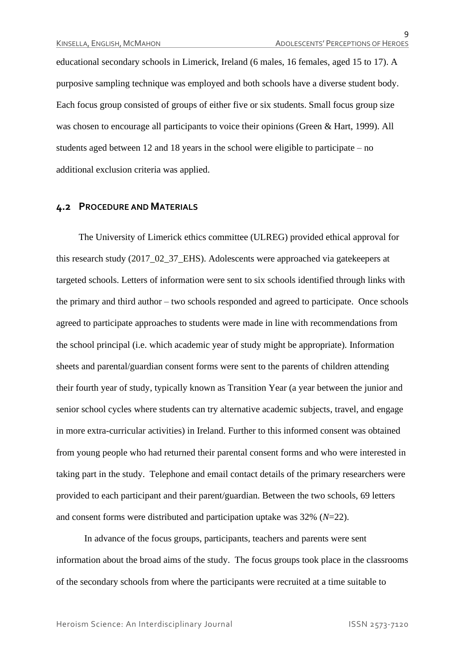educational secondary schools in Limerick, Ireland (6 males, 16 females, aged 15 to 17). A purposive sampling technique was employed and both schools have a diverse student body. Each focus group consisted of groups of either five or six students. Small focus group size was chosen to encourage all participants to voice their opinions (Green & Hart, 1999). All students aged between 12 and 18 years in the school were eligible to participate – no additional exclusion criteria was applied.

#### **4.2 PROCEDURE AND MATERIALS**

The University of Limerick ethics committee (ULREG) provided ethical approval for this research study (2017–02–37–EHS). Adolescents were approached via gatekeepers at targeted schools. Letters of information were sent to six schools identified through links with the primary and third author – two schools responded and agreed to participate. Once schools agreed to participate approaches to students were made in line with recommendations from the school principal (i.e. which academic year of study might be appropriate). Information sheets and parental/guardian consent forms were sent to the parents of children attending their fourth year of study, typically known as Transition Year (a year between the junior and senior school cycles where students can try alternative academic subjects, travel, and engage in more extra-curricular activities) in Ireland. Further to this informed consent was obtained from young people who had returned their parental consent forms and who were interested in taking part in the study. Telephone and email contact details of the primary researchers were provided to each participant and their parent/guardian. Between the two schools, 69 letters and consent forms were distributed and participation uptake was 32% (*N*=22).

In advance of the focus groups, participants, teachers and parents were sent information about the broad aims of the study. The focus groups took place in the classrooms of the secondary schools from where the participants were recruited at a time suitable to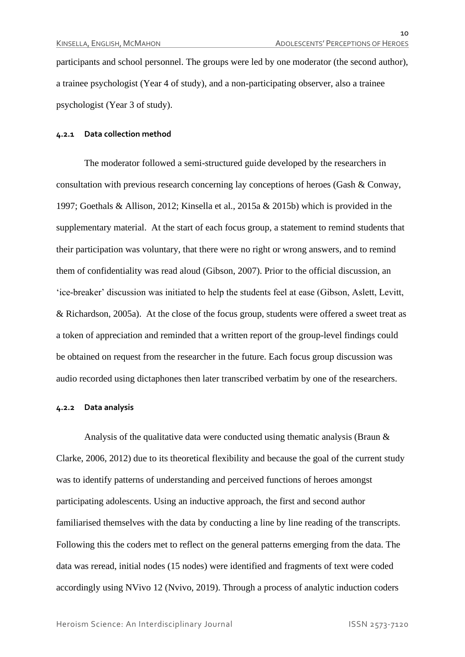participants and school personnel. The groups were led by one moderator (the second author), a trainee psychologist (Year 4 of study), and a non-participating observer, also a trainee psychologist (Year 3 of study).

#### **4.2.1 Data collection method**

The moderator followed a semi-structured guide developed by the researchers in consultation with previous research concerning lay conceptions of heroes (Gash & Conway, 1997; Goethals & Allison, 2012; Kinsella et al., 2015a & 2015b) which is provided in the supplementary material. At the start of each focus group, a statement to remind students that their participation was voluntary, that there were no right or wrong answers, and to remind them of confidentiality was read aloud (Gibson, 2007). Prior to the official discussion, an 'ice-breaker' discussion was initiated to help the students feel at ease (Gibson, Aslett, Levitt, & Richardson, 2005a). At the close of the focus group, students were offered a sweet treat as a token of appreciation and reminded that a written report of the group-level findings could be obtained on request from the researcher in the future. Each focus group discussion was audio recorded using dictaphones then later transcribed verbatim by one of the researchers.

#### **4.2.2 Data analysis**

Analysis of the qualitative data were conducted using thematic analysis (Braun & Clarke, 2006, 2012) due to its theoretical flexibility and because the goal of the current study was to identify patterns of understanding and perceived functions of heroes amongst participating adolescents. Using an inductive approach, the first and second author familiarised themselves with the data by conducting a line by line reading of the transcripts. Following this the coders met to reflect on the general patterns emerging from the data. The data was reread, initial nodes (15 nodes) were identified and fragments of text were coded accordingly using NVivo 12 (Nvivo, 2019). Through a process of analytic induction coders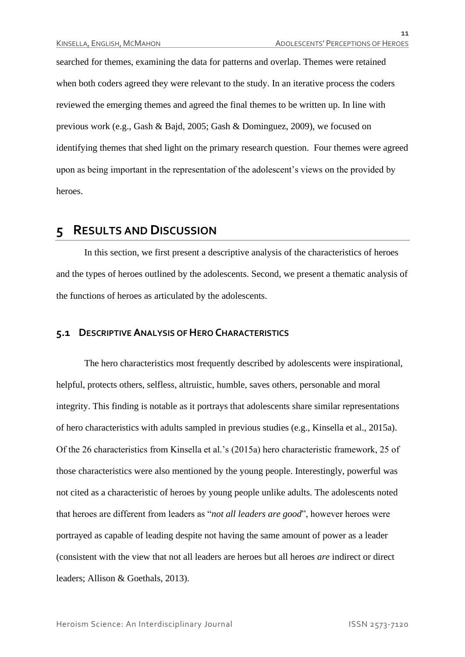searched for themes, examining the data for patterns and overlap. Themes were retained when both coders agreed they were relevant to the study. In an iterative process the coders reviewed the emerging themes and agreed the final themes to be written up. In line with previous work (e.g., Gash & Bajd, 2005; Gash & Dominguez, 2009), we focused on identifying themes that shed light on the primary research question. Four themes were agreed upon as being important in the representation of the adolescent's views on the provided by heroes.

### **5 RESULTS AND DISCUSSION**

In this section, we first present a descriptive analysis of the characteristics of heroes and the types of heroes outlined by the adolescents. Second, we present a thematic analysis of the functions of heroes as articulated by the adolescents.

#### **5.1 DESCRIPTIVE ANALYSIS OF HERO CHARACTERISTICS**

The hero characteristics most frequently described by adolescents were inspirational, helpful, protects others, selfless, altruistic, humble, saves others, personable and moral integrity. This finding is notable as it portrays that adolescents share similar representations of hero characteristics with adults sampled in previous studies (e.g., Kinsella et al., 2015a). Of the 26 characteristics from Kinsella et al.'s (2015a) hero characteristic framework, 25 of those characteristics were also mentioned by the young people. Interestingly, powerful was not cited as a characteristic of heroes by young people unlike adults. The adolescents noted that heroes are different from leaders as "*not all leaders are good*", however heroes were portrayed as capable of leading despite not having the same amount of power as a leader (consistent with the view that not all leaders are heroes but all heroes *are* indirect or direct leaders; Allison & Goethals, 2013).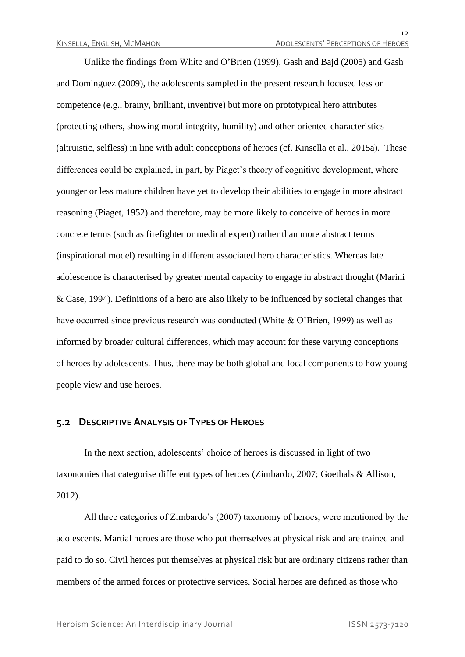Unlike the findings from White and O'Brien (1999), Gash and Bajd (2005) and Gash and Dominguez (2009), the adolescents sampled in the present research focused less on competence (e.g., brainy, brilliant, inventive) but more on prototypical hero attributes (protecting others, showing moral integrity, humility) and other-oriented characteristics (altruistic, selfless) in line with adult conceptions of heroes (cf. Kinsella et al., 2015a). These differences could be explained, in part, by Piaget's theory of cognitive development, where younger or less mature children have yet to develop their abilities to engage in more abstract reasoning (Piaget, 1952) and therefore, may be more likely to conceive of heroes in more concrete terms (such as firefighter or medical expert) rather than more abstract terms (inspirational model) resulting in different associated hero characteristics. Whereas late adolescence is characterised by greater mental capacity to engage in abstract thought (Marini & Case, 1994). Definitions of a hero are also likely to be influenced by societal changes that have occurred since previous research was conducted (White & O'Brien, 1999) as well as informed by broader cultural differences, which may account for these varying conceptions of heroes by adolescents. Thus, there may be both global and local components to how young people view and use heroes.

#### **5.2 DESCRIPTIVE ANALYSIS OF TYPES OF HEROES**

In the next section, adolescents' choice of heroes is discussed in light of two taxonomies that categorise different types of heroes (Zimbardo, 2007; Goethals & Allison, 2012).

All three categories of Zimbardo's (2007) taxonomy of heroes, were mentioned by the adolescents. Martial heroes are those who put themselves at physical risk and are trained and paid to do so. Civil heroes put themselves at physical risk but are ordinary citizens rather than members of the armed forces or protective services. Social heroes are defined as those who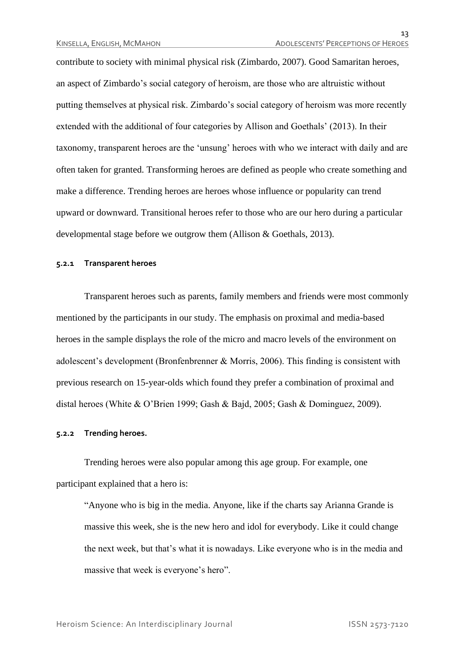contribute to society with minimal physical risk (Zimbardo, 2007). Good Samaritan heroes, an aspect of Zimbardo's social category of heroism, are those who are altruistic without putting themselves at physical risk. Zimbardo's social category of heroism was more recently extended with the additional of four categories by Allison and Goethals' (2013). In their taxonomy, transparent heroes are the 'unsung' heroes with who we interact with daily and are often taken for granted. Transforming heroes are defined as people who create something and make a difference. Trending heroes are heroes whose influence or popularity can trend upward or downward. Transitional heroes refer to those who are our hero during a particular developmental stage before we outgrow them (Allison & Goethals, 2013).

#### **5.2.1 Transparent heroes**

Transparent heroes such as parents, family members and friends were most commonly mentioned by the participants in our study. The emphasis on proximal and media-based heroes in the sample displays the role of the micro and macro levels of the environment on adolescent's development (Bronfenbrenner & Morris, 2006). This finding is consistent with previous research on 15-year-olds which found they prefer a combination of proximal and distal heroes (White & O'Brien 1999; Gash & Bajd, 2005; Gash & Dominguez, 2009).

#### **5.2.2 Trending heroes.**

Trending heroes were also popular among this age group. For example, one participant explained that a hero is:

"Anyone who is big in the media. Anyone, like if the charts say Arianna Grande is massive this week, she is the new hero and idol for everybody. Like it could change the next week, but that's what it is nowadays. Like everyone who is in the media and massive that week is everyone's hero".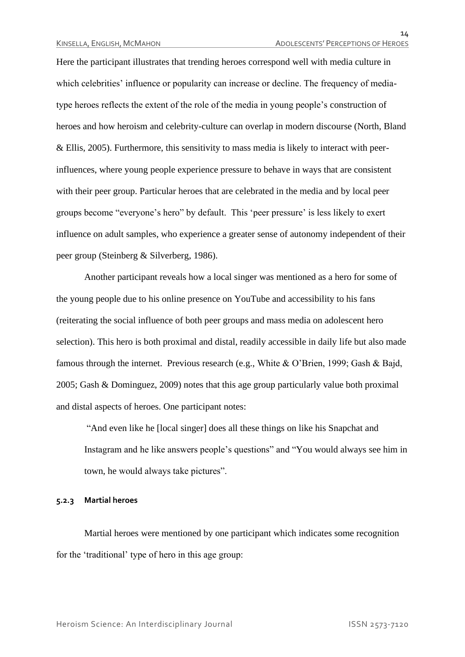$11.$ 

Here the participant illustrates that trending heroes correspond well with media culture in which celebrities' influence or popularity can increase or decline. The frequency of mediatype heroes reflects the extent of the role of the media in young people's construction of heroes and how heroism and celebrity-culture can overlap in modern discourse (North, Bland & Ellis, 2005). Furthermore, this sensitivity to mass media is likely to interact with peerinfluences, where young people experience pressure to behave in ways that are consistent with their peer group. Particular heroes that are celebrated in the media and by local peer groups become "everyone's hero" by default. This 'peer pressure' is less likely to exert influence on adult samples, who experience a greater sense of autonomy independent of their peer group (Steinberg & Silverberg, 1986).

Another participant reveals how a local singer was mentioned as a hero for some of the young people due to his online presence on YouTube and accessibility to his fans (reiterating the social influence of both peer groups and mass media on adolescent hero selection). This hero is both proximal and distal, readily accessible in daily life but also made famous through the internet. Previous research (e.g., White & O'Brien, 1999; Gash & Bajd, 2005; Gash & Dominguez, 2009) notes that this age group particularly value both proximal and distal aspects of heroes. One participant notes:

"And even like he [local singer] does all these things on like his Snapchat and Instagram and he like answers people's questions" and "You would always see him in town, he would always take pictures".

#### **5.2.3 Martial heroes**

Martial heroes were mentioned by one participant which indicates some recognition for the 'traditional' type of hero in this age group: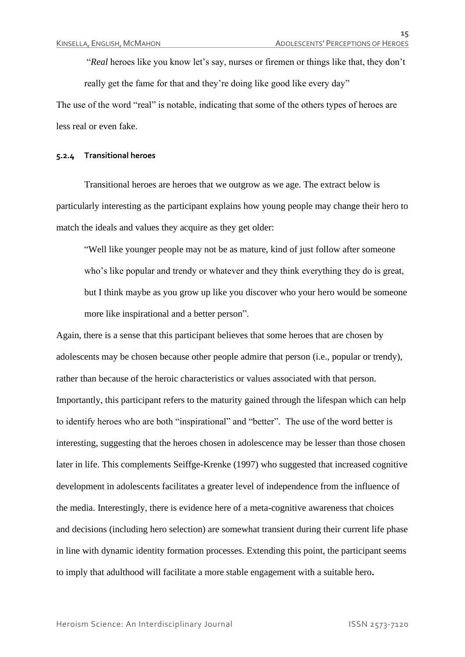"*Real* heroes like you know let's say, nurses or firemen or things like that, they don't really get the fame for that and they're doing like good like every day"

The use of the word "real" is notable, indicating that some of the others types of heroes are less real or even fake.

#### **5.2.4 Transitional heroes**

Transitional heroes are heroes that we outgrow as we age. The extract below is particularly interesting as the participant explains how young people may change their hero to match the ideals and values they acquire as they get older:

"Well like younger people may not be as mature, kind of just follow after someone who's like popular and trendy or whatever and they think everything they do is great, but I think maybe as you grow up like you discover who your hero would be someone more like inspirational and a better person".

Again, there is a sense that this participant believes that some heroes that are chosen by adolescents may be chosen because other people admire that person (i.e., popular or trendy), rather than because of the heroic characteristics or values associated with that person. Importantly, this participant refers to the maturity gained through the lifespan which can help to identify heroes who are both "inspirational" and "better". The use of the word better is interesting, suggesting that the heroes chosen in adolescence may be lesser than those chosen later in life. This complements Seiffge-Krenke (1997) who suggested that increased cognitive development in adolescents facilitates a greater level of independence from the influence of the media. Interestingly, there is evidence here of a meta-cognitive awareness that choices and decisions (including hero selection) are somewhat transient during their current life phase in line with dynamic identity formation processes. Extending this point, the participant seems to imply that adulthood will facilitate a more stable engagement with a suitable hero**.**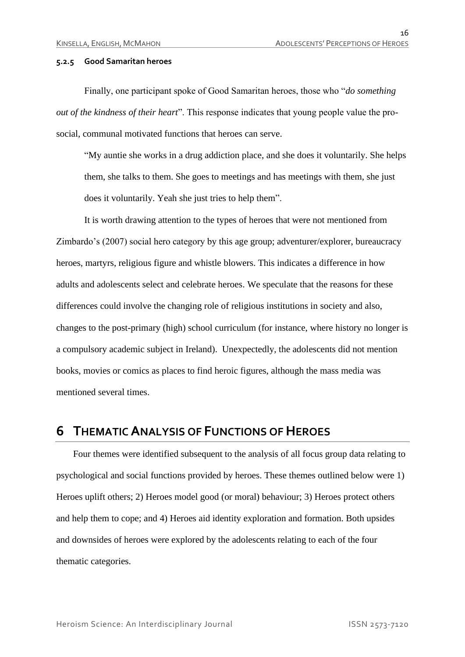#### **5.2.5 Good Samaritan heroes**

Finally, one participant spoke of Good Samaritan heroes, those who "*do something out of the kindness of their heart*". This response indicates that young people value the prosocial, communal motivated functions that heroes can serve.

"My auntie she works in a drug addiction place, and she does it voluntarily. She helps them, she talks to them. She goes to meetings and has meetings with them, she just does it voluntarily. Yeah she just tries to help them".

It is worth drawing attention to the types of heroes that were not mentioned from Zimbardo's (2007) social hero category by this age group; adventurer/explorer, bureaucracy heroes, martyrs, religious figure and whistle blowers. This indicates a difference in how adults and adolescents select and celebrate heroes. We speculate that the reasons for these differences could involve the changing role of religious institutions in society and also, changes to the post-primary (high) school curriculum (for instance, where history no longer is a compulsory academic subject in Ireland). Unexpectedly, the adolescents did not mention books, movies or comics as places to find heroic figures, although the mass media was mentioned several times.

### **6 THEMATIC ANALYSIS OF FUNCTIONS OF HEROES**

Four themes were identified subsequent to the analysis of all focus group data relating to psychological and social functions provided by heroes. These themes outlined below were 1) Heroes uplift others; 2) Heroes model good (or moral) behaviour; 3) Heroes protect others and help them to cope; and 4) Heroes aid identity exploration and formation. Both upsides and downsides of heroes were explored by the adolescents relating to each of the four thematic categories.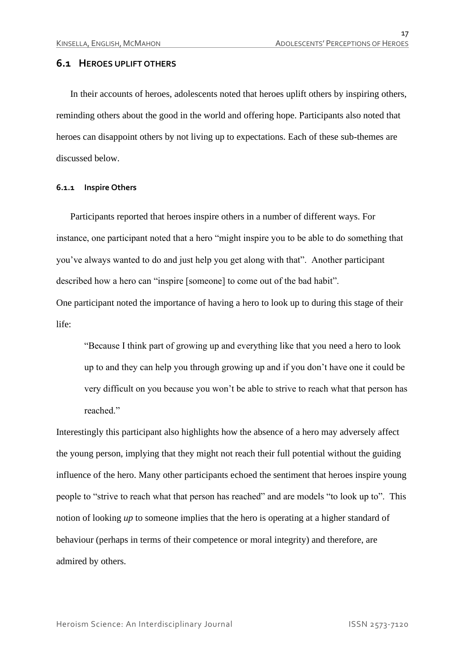#### **6.1 HEROES UPLIFT OTHERS**

In their accounts of heroes, adolescents noted that heroes uplift others by inspiring others, reminding others about the good in the world and offering hope. Participants also noted that heroes can disappoint others by not living up to expectations. Each of these sub-themes are discussed below.

#### **6.1.1 Inspire Others**

Participants reported that heroes inspire others in a number of different ways. For instance, one participant noted that a hero "might inspire you to be able to do something that you've always wanted to do and just help you get along with that". Another participant described how a hero can "inspire [someone] to come out of the bad habit".

One participant noted the importance of having a hero to look up to during this stage of their life:

"Because I think part of growing up and everything like that you need a hero to look up to and they can help you through growing up and if you don't have one it could be very difficult on you because you won't be able to strive to reach what that person has reached."

Interestingly this participant also highlights how the absence of a hero may adversely affect the young person, implying that they might not reach their full potential without the guiding influence of the hero. Many other participants echoed the sentiment that heroes inspire young people to "strive to reach what that person has reached" and are models "to look up to". This notion of looking *up* to someone implies that the hero is operating at a higher standard of behaviour (perhaps in terms of their competence or moral integrity) and therefore, are admired by others.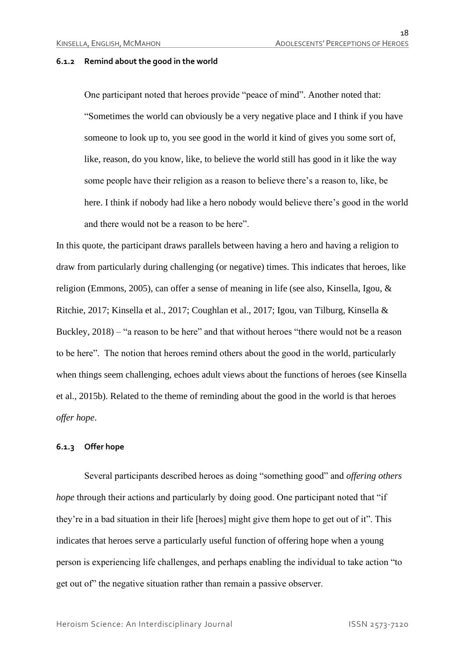#### **6.1.2 Remind about the good in the world**

One participant noted that heroes provide "peace of mind". Another noted that: "Sometimes the world can obviously be a very negative place and I think if you have someone to look up to, you see good in the world it kind of gives you some sort of, like, reason, do you know, like, to believe the world still has good in it like the way some people have their religion as a reason to believe there's a reason to, like, be here. I think if nobody had like a hero nobody would believe there's good in the world and there would not be a reason to be here".

In this quote, the participant draws parallels between having a hero and having a religion to draw from particularly during challenging (or negative) times. This indicates that heroes, like religion (Emmons, 2005), can offer a sense of meaning in life (see also, Kinsella, Igou, & Ritchie, 2017; Kinsella et al., 2017; Coughlan et al., 2017; Igou, van Tilburg, Kinsella & Buckley, 2018) – "a reason to be here" and that without heroes "there would not be a reason to be here". The notion that heroes remind others about the good in the world, particularly when things seem challenging, echoes adult views about the functions of heroes (see Kinsella et al., 2015b). Related to the theme of reminding about the good in the world is that heroes *offer hope*.

#### **6.1.3 Offer hope**

Several participants described heroes as doing "something good" and *offering others hope* through their actions and particularly by doing good. One participant noted that "if they're in a bad situation in their life [heroes] might give them hope to get out of it". This indicates that heroes serve a particularly useful function of offering hope when a young person is experiencing life challenges, and perhaps enabling the individual to take action "to get out of" the negative situation rather than remain a passive observer.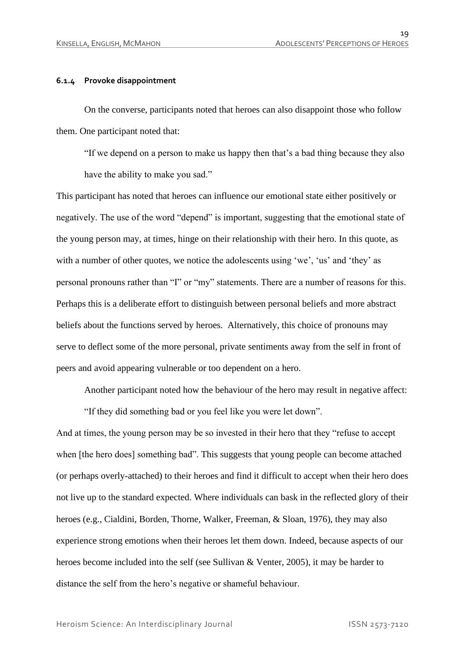#### **6.1.4 Provoke disappointment**

On the converse, participants noted that heroes can also disappoint those who follow them. One participant noted that:

"If we depend on a person to make us happy then that's a bad thing because they also have the ability to make you sad."

This participant has noted that heroes can influence our emotional state either positively or negatively. The use of the word "depend" is important, suggesting that the emotional state of the young person may, at times, hinge on their relationship with their hero. In this quote, as with a number of other quotes, we notice the adolescents using 'we', 'us' and 'they' as personal pronouns rather than "I" or "my" statements. There are a number of reasons for this. Perhaps this is a deliberate effort to distinguish between personal beliefs and more abstract beliefs about the functions served by heroes. Alternatively, this choice of pronouns may serve to deflect some of the more personal, private sentiments away from the self in front of peers and avoid appearing vulnerable or too dependent on a hero.

Another participant noted how the behaviour of the hero may result in negative affect:

"If they did something bad or you feel like you were let down".

And at times, the young person may be so invested in their hero that they "refuse to accept when [the hero does] something bad". This suggests that young people can become attached (or perhaps overly-attached) to their heroes and find it difficult to accept when their hero does not live up to the standard expected. Where individuals can bask in the reflected glory of their heroes (e.g., Cialdini, Borden, Thorne, Walker, Freeman, & Sloan, 1976), they may also experience strong emotions when their heroes let them down. Indeed, because aspects of our heroes become included into the self (see Sullivan & Venter, 2005), it may be harder to distance the self from the hero's negative or shameful behaviour.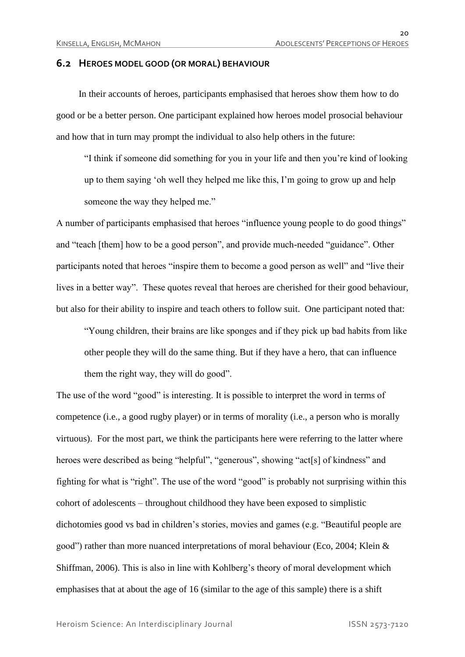#### **6.2 HEROES MODEL GOOD (OR MORAL) BEHAVIOUR**

In their accounts of heroes, participants emphasised that heroes show them how to do good or be a better person. One participant explained how heroes model prosocial behaviour and how that in turn may prompt the individual to also help others in the future:

"I think if someone did something for you in your life and then you're kind of looking up to them saying 'oh well they helped me like this, I'm going to grow up and help someone the way they helped me."

A number of participants emphasised that heroes "influence young people to do good things" and "teach [them] how to be a good person", and provide much-needed "guidance". Other participants noted that heroes "inspire them to become a good person as well" and "live their lives in a better way". These quotes reveal that heroes are cherished for their good behaviour, but also for their ability to inspire and teach others to follow suit. One participant noted that:

"Young children, their brains are like sponges and if they pick up bad habits from like other people they will do the same thing. But if they have a hero, that can influence them the right way, they will do good".

The use of the word "good" is interesting. It is possible to interpret the word in terms of competence (i.e., a good rugby player) or in terms of morality (i.e., a person who is morally virtuous). For the most part, we think the participants here were referring to the latter where heroes were described as being "helpful", "generous", showing "act[s] of kindness" and fighting for what is "right". The use of the word "good" is probably not surprising within this cohort of adolescents – throughout childhood they have been exposed to simplistic dichotomies good vs bad in children's stories, movies and games (e.g. "Beautiful people are good") rather than more nuanced interpretations of moral behaviour (Eco, 2004; Klein & Shiffman, 2006). This is also in line with Kohlberg's theory of moral development which emphasises that at about the age of 16 (similar to the age of this sample) there is a shift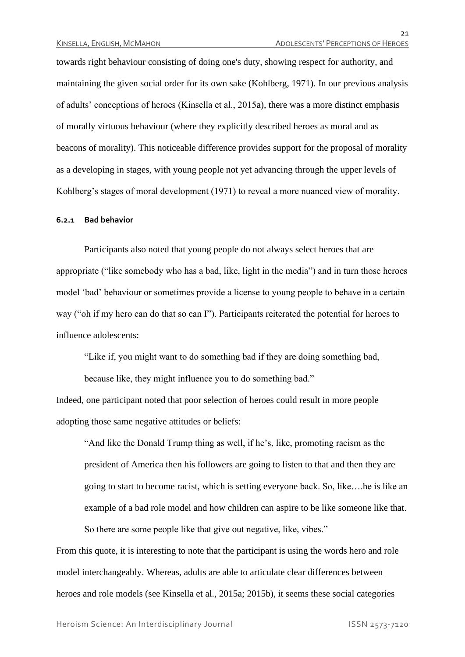towards right behaviour consisting of doing one's duty, showing respect for authority, and maintaining the given social order for its own sake (Kohlberg, 1971). In our previous analysis of adults' conceptions of heroes (Kinsella et al., 2015a), there was a more distinct emphasis of morally virtuous behaviour (where they explicitly described heroes as moral and as beacons of morality). This noticeable difference provides support for the proposal of morality as a developing in stages, with young people not yet advancing through the upper levels of Kohlberg's stages of moral development (1971) to reveal a more nuanced view of morality.

#### **6.2.1 Bad behavior**

Participants also noted that young people do not always select heroes that are appropriate ("like somebody who has a bad, like, light in the media") and in turn those heroes model 'bad' behaviour or sometimes provide a license to young people to behave in a certain way ("oh if my hero can do that so can I"). Participants reiterated the potential for heroes to influence adolescents:

"Like if, you might want to do something bad if they are doing something bad,

because like, they might influence you to do something bad."

Indeed, one participant noted that poor selection of heroes could result in more people adopting those same negative attitudes or beliefs:

"And like the Donald Trump thing as well, if he's, like, promoting racism as the president of America then his followers are going to listen to that and then they are going to start to become racist, which is setting everyone back. So, like….he is like an example of a bad role model and how children can aspire to be like someone like that. So there are some people like that give out negative, like, vibes."

From this quote, it is interesting to note that the participant is using the words hero and role model interchangeably. Whereas, adults are able to articulate clear differences between heroes and role models (see Kinsella et al., 2015a; 2015b), it seems these social categories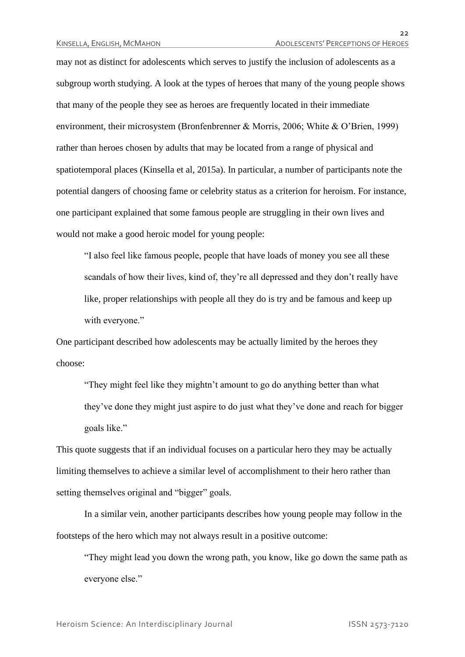may not as distinct for adolescents which serves to justify the inclusion of adolescents as a subgroup worth studying. A look at the types of heroes that many of the young people shows that many of the people they see as heroes are frequently located in their immediate environment, their microsystem (Bronfenbrenner & Morris, 2006; White & O'Brien, 1999) rather than heroes chosen by adults that may be located from a range of physical and spatiotemporal places (Kinsella et al, 2015a). In particular, a number of participants note the potential dangers of choosing fame or celebrity status as a criterion for heroism. For instance, one participant explained that some famous people are struggling in their own lives and would not make a good heroic model for young people:

"I also feel like famous people, people that have loads of money you see all these scandals of how their lives, kind of, they're all depressed and they don't really have like, proper relationships with people all they do is try and be famous and keep up with everyone."

One participant described how adolescents may be actually limited by the heroes they choose:

"They might feel like they mightn't amount to go do anything better than what they've done they might just aspire to do just what they've done and reach for bigger goals like."

This quote suggests that if an individual focuses on a particular hero they may be actually limiting themselves to achieve a similar level of accomplishment to their hero rather than setting themselves original and "bigger" goals.

In a similar vein, another participants describes how young people may follow in the footsteps of the hero which may not always result in a positive outcome:

"They might lead you down the wrong path, you know, like go down the same path as everyone else."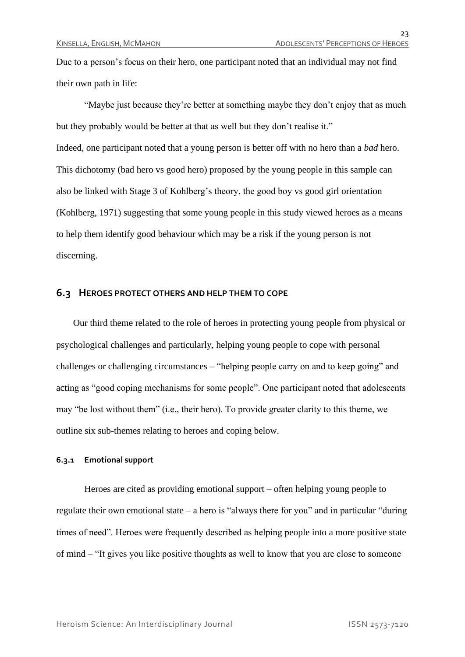Due to a person's focus on their hero, one participant noted that an individual may not find their own path in life:

"Maybe just because they're better at something maybe they don't enjoy that as much but they probably would be better at that as well but they don't realise it." Indeed, one participant noted that a young person is better off with no hero than a *bad* hero. This dichotomy (bad hero vs good hero) proposed by the young people in this sample can also be linked with Stage 3 of Kohlberg's theory, the good boy vs good girl orientation (Kohlberg, 1971) suggesting that some young people in this study viewed heroes as a means to help them identify good behaviour which may be a risk if the young person is not discerning.

#### **6.3 HEROES PROTECT OTHERS AND HELP THEM TO COPE**

Our third theme related to the role of heroes in protecting young people from physical or psychological challenges and particularly, helping young people to cope with personal challenges or challenging circumstances – "helping people carry on and to keep going" and acting as "good coping mechanisms for some people". One participant noted that adolescents may "be lost without them" (i.e., their hero). To provide greater clarity to this theme, we outline six sub-themes relating to heroes and coping below.

#### **6.3.1 Emotional support**

Heroes are cited as providing emotional support – often helping young people to regulate their own emotional state – a hero is "always there for you" and in particular "during times of need". Heroes were frequently described as helping people into a more positive state of mind – "It gives you like positive thoughts as well to know that you are close to someone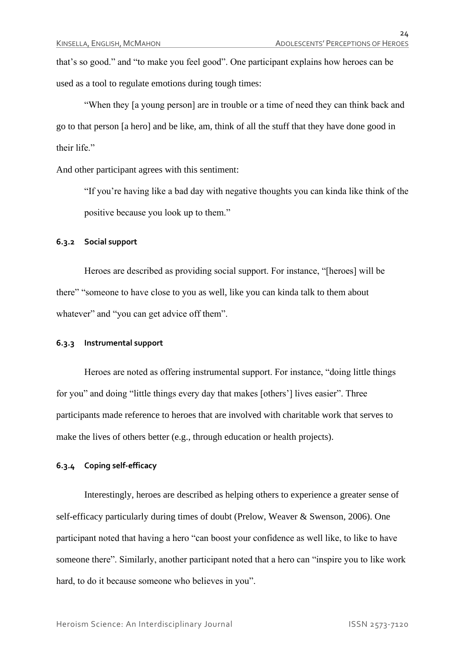that's so good." and "to make you feel good". One participant explains how heroes can be used as a tool to regulate emotions during tough times:

"When they [a young person] are in trouble or a time of need they can think back and go to that person [a hero] and be like, am, think of all the stuff that they have done good in their life."

And other participant agrees with this sentiment:

"If you're having like a bad day with negative thoughts you can kinda like think of the positive because you look up to them."

#### **6.3.2 Social support**

Heroes are described as providing social support. For instance, "[heroes] will be there" "someone to have close to you as well, like you can kinda talk to them about whatever" and "you can get advice off them".

#### **6.3.3 Instrumental support**

Heroes are noted as offering instrumental support. For instance, "doing little things for you" and doing "little things every day that makes [others'] lives easier". Three participants made reference to heroes that are involved with charitable work that serves to make the lives of others better (e.g., through education or health projects).

#### **6.3.4 Coping self-efficacy**

Interestingly, heroes are described as helping others to experience a greater sense of self-efficacy particularly during times of doubt (Prelow, Weaver & Swenson, 2006). One participant noted that having a hero "can boost your confidence as well like, to like to have someone there". Similarly, another participant noted that a hero can "inspire you to like work hard, to do it because someone who believes in you".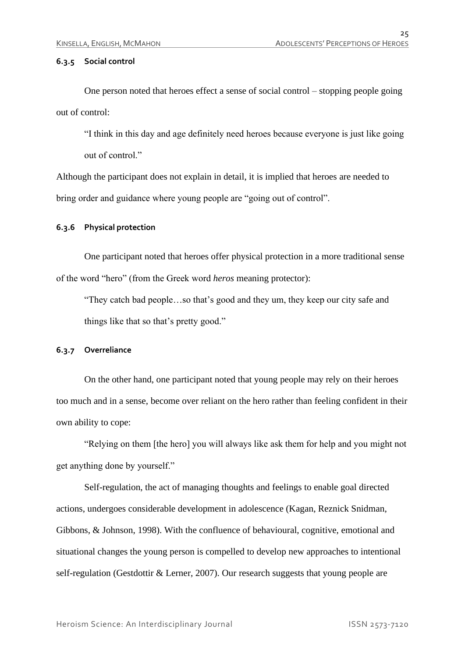#### **6.3.5 Social control**

One person noted that heroes effect a sense of social control – stopping people going out of control:

"I think in this day and age definitely need heroes because everyone is just like going out of control."

Although the participant does not explain in detail, it is implied that heroes are needed to bring order and guidance where young people are "going out of control".

#### **6.3.6 Physical protection**

One participant noted that heroes offer physical protection in a more traditional sense of the word "hero" (from the Greek word *heros* meaning protector):

"They catch bad people…so that's good and they um, they keep our city safe and things like that so that's pretty good."

#### **6.3.7 Overreliance**

On the other hand, one participant noted that young people may rely on their heroes too much and in a sense, become over reliant on the hero rather than feeling confident in their own ability to cope:

"Relying on them [the hero] you will always like ask them for help and you might not get anything done by yourself."

Self-regulation, the act of managing thoughts and feelings to enable goal directed actions, undergoes considerable development in adolescence (Kagan, Reznick Snidman, Gibbons, & Johnson, 1998). With the confluence of behavioural, cognitive, emotional and situational changes the young person is compelled to develop new approaches to intentional self-regulation (Gestdottir & Lerner, 2007). Our research suggests that young people are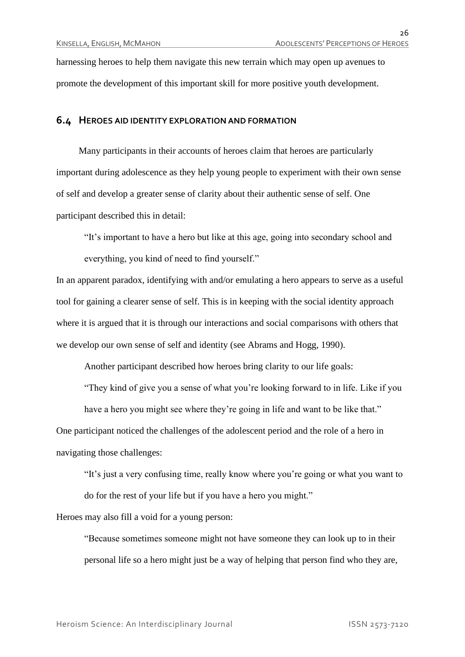harnessing heroes to help them navigate this new terrain which may open up avenues to promote the development of this important skill for more positive youth development.

#### **6.4 HEROES AID IDENTITY EXPLORATION AND FORMATION**

Many participants in their accounts of heroes claim that heroes are particularly important during adolescence as they help young people to experiment with their own sense of self and develop a greater sense of clarity about their authentic sense of self. One participant described this in detail:

"It's important to have a hero but like at this age, going into secondary school and everything, you kind of need to find yourself."

In an apparent paradox, identifying with and/or emulating a hero appears to serve as a useful tool for gaining a clearer sense of self. This is in keeping with the social identity approach where it is argued that it is through our interactions and social comparisons with others that we develop our own sense of self and identity (see Abrams and Hogg, 1990).

Another participant described how heroes bring clarity to our life goals:

"They kind of give you a sense of what you're looking forward to in life. Like if you

have a hero you might see where they're going in life and want to be like that."

One participant noticed the challenges of the adolescent period and the role of a hero in navigating those challenges:

"It's just a very confusing time, really know where you're going or what you want to do for the rest of your life but if you have a hero you might."

Heroes may also fill a void for a young person:

"Because sometimes someone might not have someone they can look up to in their personal life so a hero might just be a way of helping that person find who they are,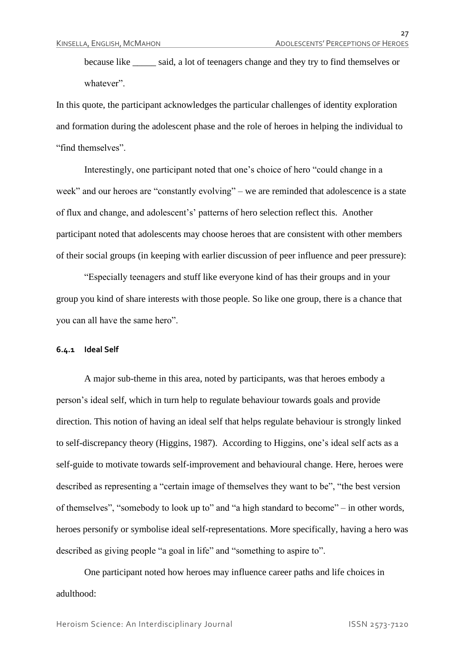because like \_\_\_\_\_ said, a lot of teenagers change and they try to find themselves or whatever".

In this quote, the participant acknowledges the particular challenges of identity exploration and formation during the adolescent phase and the role of heroes in helping the individual to "find themselves".

Interestingly, one participant noted that one's choice of hero "could change in a week" and our heroes are "constantly evolving" – we are reminded that adolescence is a state of flux and change, and adolescent's' patterns of hero selection reflect this. Another participant noted that adolescents may choose heroes that are consistent with other members of their social groups (in keeping with earlier discussion of peer influence and peer pressure):

"Especially teenagers and stuff like everyone kind of has their groups and in your group you kind of share interests with those people. So like one group, there is a chance that you can all have the same hero".

#### **6.4.1 Ideal Self**

A major sub-theme in this area, noted by participants, was that heroes embody a person's ideal self, which in turn help to regulate behaviour towards goals and provide direction. This notion of having an ideal self that helps regulate behaviour is strongly linked to self-discrepancy theory (Higgins, 1987). According to Higgins, one's ideal self acts as a self-guide to motivate towards self-improvement and behavioural change. Here, heroes were described as representing a "certain image of themselves they want to be", "the best version of themselves", "somebody to look up to" and "a high standard to become" – in other words, heroes personify or symbolise ideal self-representations. More specifically, having a hero was described as giving people "a goal in life" and "something to aspire to".

One participant noted how heroes may influence career paths and life choices in adulthood:

Heroism Science: An Interdisciplinary Journal ISSN 2573-7120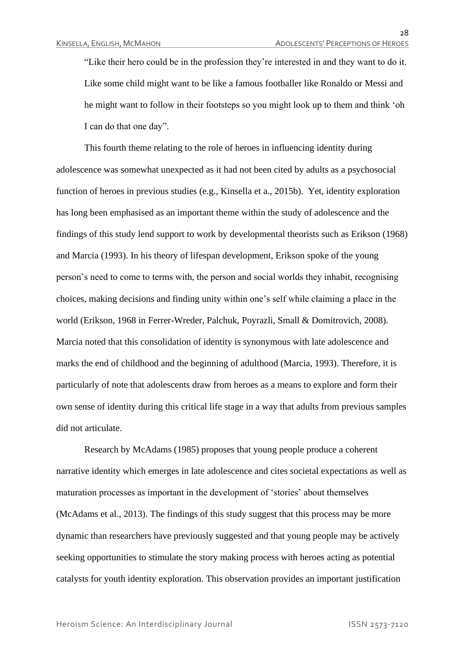"Like their hero could be in the profession they're interested in and they want to do it. Like some child might want to be like a famous footballer like Ronaldo or Messi and he might want to follow in their footsteps so you might look up to them and think 'oh I can do that one day".

This fourth theme relating to the role of heroes in influencing identity during adolescence was somewhat unexpected as it had not been cited by adults as a psychosocial function of heroes in previous studies (e.g., Kinsella et a., 2015b). Yet, identity exploration has long been emphasised as an important theme within the study of adolescence and the findings of this study lend support to work by developmental theorists such as Erikson (1968) and Marcia (1993). In his theory of lifespan development, Erikson spoke of the young person's need to come to terms with, the person and social worlds they inhabit, recognising choices, making decisions and finding unity within one's self while claiming a place in the world (Erikson, 1968 in Ferrer-Wreder, Palchuk, Poyrazli, Small & Domitrovich, 2008). Marcia noted that this consolidation of identity is synonymous with late adolescence and marks the end of childhood and the beginning of adulthood (Marcia, 1993). Therefore, it is particularly of note that adolescents draw from heroes as a means to explore and form their own sense of identity during this critical life stage in a way that adults from previous samples did not articulate.

Research by McAdams (1985) proposes that young people produce a coherent narrative identity which emerges in late adolescence and cites societal expectations as well as maturation processes as important in the development of 'stories' about themselves (McAdams et al., 2013). The findings of this study suggest that this process may be more dynamic than researchers have previously suggested and that young people may be actively seeking opportunities to stimulate the story making process with heroes acting as potential catalysts for youth identity exploration. This observation provides an important justification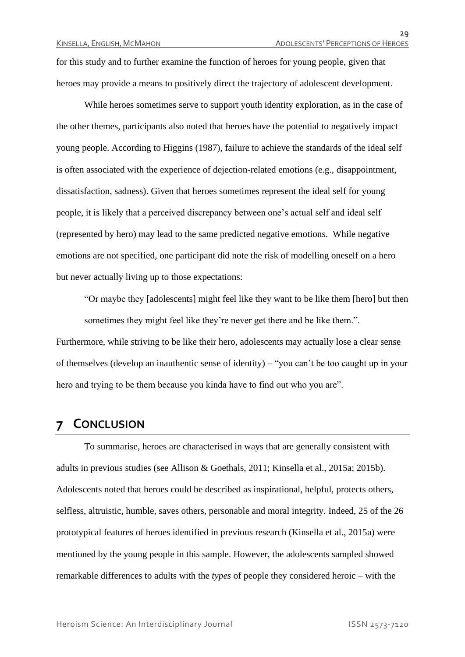for this study and to further examine the function of heroes for young people, given that heroes may provide a means to positively direct the trajectory of adolescent development.

While heroes sometimes serve to support youth identity exploration, as in the case of the other themes, participants also noted that heroes have the potential to negatively impact young people. According to Higgins (1987), failure to achieve the standards of the ideal self is often associated with the experience of dejection-related emotions (e.g., disappointment, dissatisfaction, sadness). Given that heroes sometimes represent the ideal self for young people, it is likely that a perceived discrepancy between one's actual self and ideal self (represented by hero) may lead to the same predicted negative emotions. While negative emotions are not specified, one participant did note the risk of modelling oneself on a hero but never actually living up to those expectations:

"Or maybe they [adolescents] might feel like they want to be like them [hero] but then sometimes they might feel like they're never get there and be like them.". Furthermore, while striving to be like their hero, adolescents may actually lose a clear sense

of themselves (develop an inauthentic sense of identity) – "you can't be too caught up in your hero and trying to be them because you kinda have to find out who you are".

### **7 CONCLUSION**

To summarise, heroes are characterised in ways that are generally consistent with adults in previous studies (see Allison & Goethals, 2011; Kinsella et al., 2015a; 2015b). Adolescents noted that heroes could be described as inspirational, helpful, protects others, selfless, altruistic, humble, saves others, personable and moral integrity. Indeed, 25 of the 26 prototypical features of heroes identified in previous research (Kinsella et al., 2015a) were mentioned by the young people in this sample. However, the adolescents sampled showed remarkable differences to adults with the *types* of people they considered heroic – with the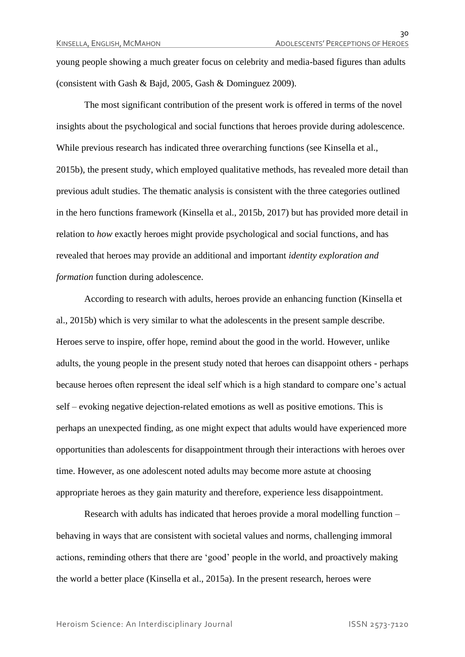young people showing a much greater focus on celebrity and media-based figures than adults (consistent with Gash & Bajd, 2005, Gash & Dominguez 2009).

The most significant contribution of the present work is offered in terms of the novel insights about the psychological and social functions that heroes provide during adolescence. While previous research has indicated three overarching functions (see Kinsella et al., 2015b), the present study, which employed qualitative methods, has revealed more detail than previous adult studies. The thematic analysis is consistent with the three categories outlined in the hero functions framework (Kinsella et al., 2015b, 2017) but has provided more detail in relation to *how* exactly heroes might provide psychological and social functions, and has revealed that heroes may provide an additional and important *identity exploration and formation* function during adolescence.

According to research with adults, heroes provide an enhancing function (Kinsella et al., 2015b) which is very similar to what the adolescents in the present sample describe. Heroes serve to inspire, offer hope, remind about the good in the world. However, unlike adults, the young people in the present study noted that heroes can disappoint others - perhaps because heroes often represent the ideal self which is a high standard to compare one's actual self – evoking negative dejection-related emotions as well as positive emotions. This is perhaps an unexpected finding, as one might expect that adults would have experienced more opportunities than adolescents for disappointment through their interactions with heroes over time. However, as one adolescent noted adults may become more astute at choosing appropriate heroes as they gain maturity and therefore, experience less disappointment.

Research with adults has indicated that heroes provide a moral modelling function – behaving in ways that are consistent with societal values and norms, challenging immoral actions, reminding others that there are 'good' people in the world, and proactively making the world a better place (Kinsella et al., 2015a). In the present research, heroes were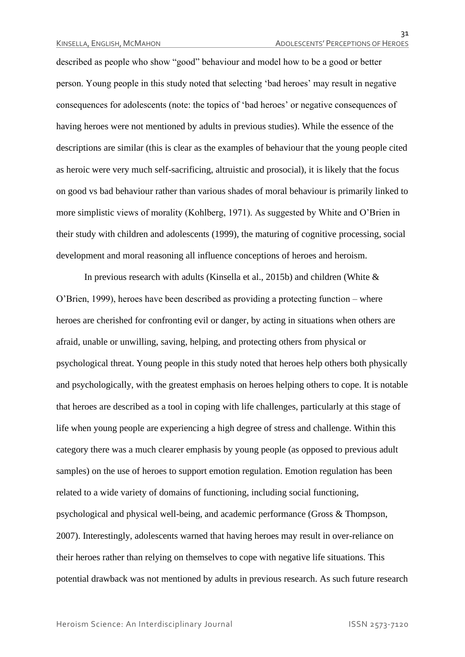described as people who show "good" behaviour and model how to be a good or better person. Young people in this study noted that selecting 'bad heroes' may result in negative consequences for adolescents (note: the topics of 'bad heroes' or negative consequences of having heroes were not mentioned by adults in previous studies). While the essence of the descriptions are similar (this is clear as the examples of behaviour that the young people cited as heroic were very much self-sacrificing, altruistic and prosocial), it is likely that the focus on good vs bad behaviour rather than various shades of moral behaviour is primarily linked to more simplistic views of morality (Kohlberg, 1971). As suggested by White and O'Brien in their study with children and adolescents (1999), the maturing of cognitive processing, social development and moral reasoning all influence conceptions of heroes and heroism.

In previous research with adults (Kinsella et al., 2015b) and children (White  $\&$ O'Brien, 1999), heroes have been described as providing a protecting function – where heroes are cherished for confronting evil or danger, by acting in situations when others are afraid, unable or unwilling, saving, helping, and protecting others from physical or psychological threat. Young people in this study noted that heroes help others both physically and psychologically, with the greatest emphasis on heroes helping others to cope. It is notable that heroes are described as a tool in coping with life challenges, particularly at this stage of life when young people are experiencing a high degree of stress and challenge. Within this category there was a much clearer emphasis by young people (as opposed to previous adult samples) on the use of heroes to support emotion regulation. Emotion regulation has been related to a wide variety of domains of functioning, including social functioning, psychological and physical well-being, and academic performance (Gross & Thompson, 2007). Interestingly, adolescents warned that having heroes may result in over-reliance on their heroes rather than relying on themselves to cope with negative life situations. This potential drawback was not mentioned by adults in previous research. As such future research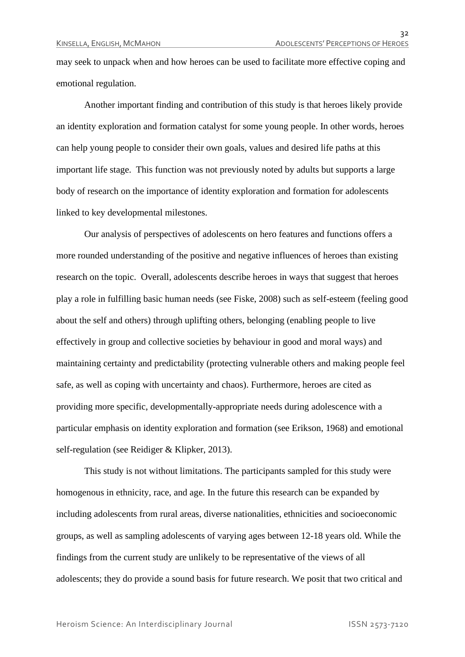may seek to unpack when and how heroes can be used to facilitate more effective coping and emotional regulation.

Another important finding and contribution of this study is that heroes likely provide an identity exploration and formation catalyst for some young people. In other words, heroes can help young people to consider their own goals, values and desired life paths at this important life stage. This function was not previously noted by adults but supports a large body of research on the importance of identity exploration and formation for adolescents linked to key developmental milestones.

Our analysis of perspectives of adolescents on hero features and functions offers a more rounded understanding of the positive and negative influences of heroes than existing research on the topic. Overall, adolescents describe heroes in ways that suggest that heroes play a role in fulfilling basic human needs (see Fiske, 2008) such as self-esteem (feeling good about the self and others) through uplifting others, belonging (enabling people to live effectively in group and collective societies by behaviour in good and moral ways) and maintaining certainty and predictability (protecting vulnerable others and making people feel safe, as well as coping with uncertainty and chaos). Furthermore, heroes are cited as providing more specific, developmentally-appropriate needs during adolescence with a particular emphasis on identity exploration and formation (see Erikson, 1968) and emotional self-regulation (see Reidiger & Klipker, 2013).

This study is not without limitations. The participants sampled for this study were homogenous in ethnicity, race, and age. In the future this research can be expanded by including adolescents from rural areas, diverse nationalities, ethnicities and socioeconomic groups, as well as sampling adolescents of varying ages between 12-18 years old. While the findings from the current study are unlikely to be representative of the views of all adolescents; they do provide a sound basis for future research. We posit that two critical and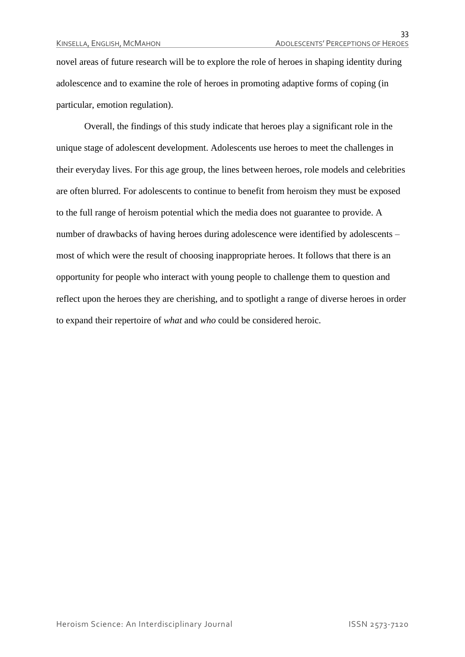novel areas of future research will be to explore the role of heroes in shaping identity during adolescence and to examine the role of heroes in promoting adaptive forms of coping (in particular, emotion regulation).

Overall, the findings of this study indicate that heroes play a significant role in the unique stage of adolescent development. Adolescents use heroes to meet the challenges in their everyday lives. For this age group, the lines between heroes, role models and celebrities are often blurred. For adolescents to continue to benefit from heroism they must be exposed to the full range of heroism potential which the media does not guarantee to provide. A number of drawbacks of having heroes during adolescence were identified by adolescents – most of which were the result of choosing inappropriate heroes. It follows that there is an opportunity for people who interact with young people to challenge them to question and reflect upon the heroes they are cherishing, and to spotlight a range of diverse heroes in order to expand their repertoire of *what* and *who* could be considered heroic.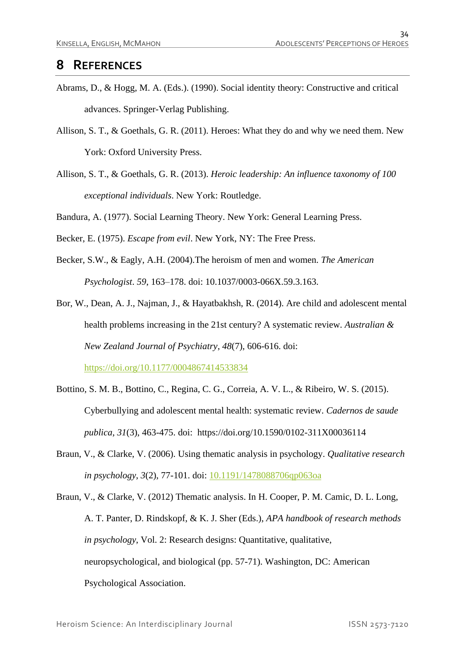### **8 REFERENCES**

- Abrams, D., & Hogg, M. A. (Eds.). (1990). Social identity theory: Constructive and critical advances. Springer-Verlag Publishing.
- Allison, S. T., & Goethals, G. R. (2011). Heroes: What they do and why we need them. New York: Oxford University Press.
- Allison, S. T., & Goethals, G. R. (2013). *Heroic leadership: An influence taxonomy of 100 exceptional individuals*. New York: Routledge.

Bandura, A. (1977). Social Learning Theory. New York: General Learning Press.

Becker, E. (1975). *Escape from evil*. New York, NY: The Free Press.

- Becker, S.W., & Eagly, A.H. (2004).The heroism of men and women. *The American Psychologist*. *59*, 163–178. doi: 10.1037/0003-066X.59.3.163.
- Bor, W., Dean, A. J., Najman, J., & Hayatbakhsh, R. (2014). Are child and adolescent mental health problems increasing in the 21st century? A systematic review. *Australian & New Zealand Journal of Psychiatry*, *48*(7), 606-616. doi:

<https://doi.org/10.1177/0004867414533834>

- Bottino, S. M. B., Bottino, C., Regina, C. G., Correia, A. V. L., & Ribeiro, W. S. (2015). Cyberbullying and adolescent mental health: systematic review. *Cadernos de saude publica*, *31*(3), 463-475. doi: https://doi.org/10.1590/0102-311X00036114
- Braun, V., & Clarke, V. (2006). Using thematic analysis in psychology. *Qualitative research in psychology*, *3*(2), 77-101. doi: [10.1191/1478088706qp063oa](https://doi.org/10.1191/1478088706qp063oa)
- Braun, V., & Clarke, V. (2012) Thematic analysis. In H. Cooper, P. M. Camic, D. L. Long, A. T. Panter, D. Rindskopf, & K. J. Sher (Eds.), *APA handbook of research methods in psychology*, Vol. 2: Research designs: Quantitative, qualitative, neuropsychological, and biological (pp. 57-71). Washington, DC: American Psychological Association.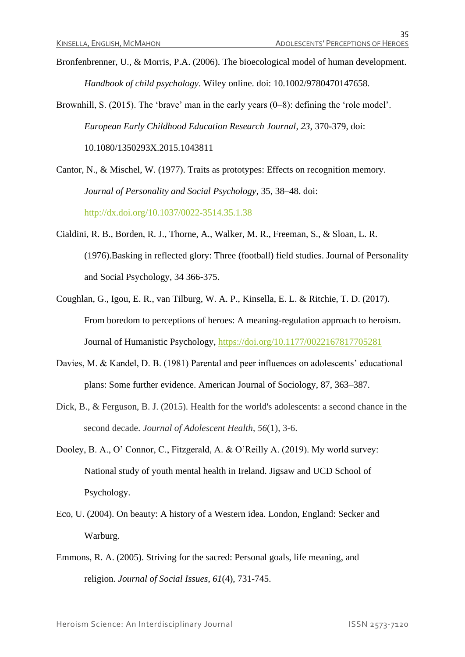Bronfenbrenner, U., & Morris, P.A. (2006). The bioecological model of human development. *Handbook of child psychology*. Wiley online. doi: 10.1002/9780470147658.

Brownhill, S. (2015). The 'brave' man in the early years (0–8): defining the 'role model'. *European Early Childhood Education Research Journal*, *23*, 370-379, doi: 10.1080/1350293X.2015.1043811

Cantor, N., & Mischel, W. (1977). Traits as prototypes: Effects on recognition memory. *Journal of Personality and Social Psychology*, 35, 38–48. doi: <http://dx.doi.org/10.1037/0022-3514.35.1.38>

- Cialdini, R. B., Borden, R. J., Thorne, A., Walker, M. R., Freeman, S., & Sloan, L. R. (1976).Basking in reflected glory: Three (football) field studies. Journal of Personality and Social Psychology, 34 366-375.
- Coughlan, G., Igou, E. R., van Tilburg, W. A. P., Kinsella, E. L. & Ritchie, T. D. (2017). From boredom to perceptions of heroes: A meaning-regulation approach to heroism. Journal of Humanistic Psychology,<https://doi.org/10.1177/0022167817705281>
- Davies, M. & Kandel, D. B. (1981) Parental and peer influences on adolescents' educational plans: Some further evidence. American Journal of Sociology, 87, 363–387.
- Dick, B., & Ferguson, B. J. (2015). Health for the world's adolescents: a second chance in the second decade. *Journal of Adolescent Health*, *56*(1), 3-6.
- Dooley, B. A., O' Connor, C., Fitzgerald, A. & O'Reilly A. (2019). My world survey: National study of youth mental health in Ireland. Jigsaw and UCD School of Psychology.
- Eco, U. (2004). On beauty: A history of a Western idea. London, England: Secker and Warburg.
- Emmons, R. A. (2005). Striving for the sacred: Personal goals, life meaning, and religion. *Journal of Social Issues*, *61*(4), 731-745.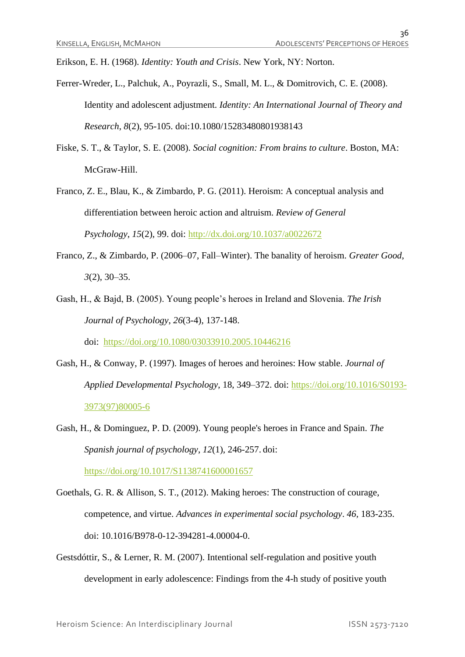Erikson, E. H. (1968). *Identity: Youth and Crisis*. New York, NY: Norton.

- Ferrer-Wreder, L., Palchuk, A., Poyrazli, S., Small, M. L., & Domitrovich, C. E. (2008). Identity and adolescent adjustment. *Identity: An International Journal of Theory and Research*, *8*(2), 95-105. doi:10.1080/15283480801938143
- Fiske, S. T., & Taylor, S. E. (2008). *Social cognition: From brains to culture*. Boston, MA: McGraw-Hill.
- Franco, Z. E., Blau, K., & Zimbardo, P. G. (2011). Heroism: A conceptual analysis and differentiation between heroic action and altruism. *Review of General Psychology*, *15*(2), 99. doi: [http://dx.doi.org/10.1037/a0022672](http://psycnet.apa.org/doi/10.1037/a0022672)
- Franco, Z., & Zimbardo, P. (2006–07, Fall–Winter). The banality of heroism. *Greater Good*, *3*(2), 30–35.
- Gash, H., & Bajd, B. (2005). Young people's heroes in Ireland and Slovenia. *The Irish Journal of Psychology*, *26*(3-4), 137-148.

doi: <https://doi.org/10.1080/03033910.2005.10446216>

- Gash, H., & Conway, P. (1997). Images of heroes and heroines: How stable. *Journal of Applied Developmental Psychology*, 18, 349–372. doi: [https://doi.org/10.1016/S0193-](https://doi.org/10.1016/S0193-3973(97)80005-6) [3973\(97\)80005-6](https://doi.org/10.1016/S0193-3973(97)80005-6)
- Gash, H., & Dominguez, P. D. (2009). Young people's heroes in France and Spain. *The Spanish journal of psychology*, *12*(1), 246-257. doi: <https://doi.org/10.1017/S1138741600001657>
- Goethals, G. R. & Allison, S. T., (2012). Making heroes: The construction of courage, competence, and virtue. *Advances in experimental social psychology*. *46,* 183-235. doi: 10.1016/B978-0-12-394281-4.00004-0.
- Gestsdóttir, S., & Lerner, R. M. (2007). Intentional self-regulation and positive youth development in early adolescence: Findings from the 4-h study of positive youth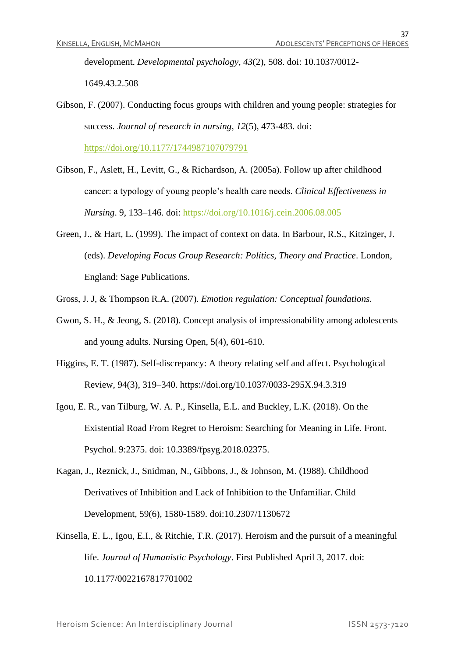development. *Developmental psychology*, *43*(2), 508. doi: 10.1037/0012- 1649.43.2.508

Gibson, F. (2007). Conducting focus groups with children and young people: strategies for success. *Journal of research in nursing*, *12*(5), 473-483. doi:

<https://doi.org/10.1177/1744987107079791>

- Gibson, F., Aslett, H., Levitt, G., & Richardson, A. (2005a). Follow up after childhood cancer: a typology of young people's health care needs. *Clinical Effectiveness in Nursing*. 9, 133–146. doi:<https://doi.org/10.1016/j.cein.2006.08.005>
- Green, J., & Hart, L. (1999). The impact of context on data. In Barbour, R.S., Kitzinger, J. (eds). *Developing Focus Group Research: Politics, Theory and Practice*. London, England: Sage Publications.
- Gross, J. J, & Thompson R.A. (2007). *Emotion regulation: Conceptual foundations.*
- Gwon, S. H., & Jeong, S. (2018). Concept analysis of impressionability among adolescents and young adults. Nursing Open, 5(4), 601-610.
- Higgins, E. T. (1987). Self-discrepancy: A theory relating self and affect. Psychological Review, 94(3), 319–340. https://doi.org/10.1037/0033-295X.94.3.319
- Igou, E. R., van Tilburg, W. A. P., Kinsella, E.L. and Buckley, L.K. (2018). On the Existential Road From Regret to Heroism: Searching for Meaning in Life. Front. Psychol. 9:2375. doi: 10.3389/fpsyg.2018.02375.
- Kagan, J., Reznick, J., Snidman, N., Gibbons, J., & Johnson, M. (1988). Childhood Derivatives of Inhibition and Lack of Inhibition to the Unfamiliar. Child Development, 59(6), 1580-1589. doi:10.2307/1130672
- Kinsella, E. L., Igou, E.I., & Ritchie, T.R. (2017). Heroism and the pursuit of a meaningful life. *Journal of Humanistic Psychology*. First Published April 3, 2017. doi: 10.1177/0022167817701002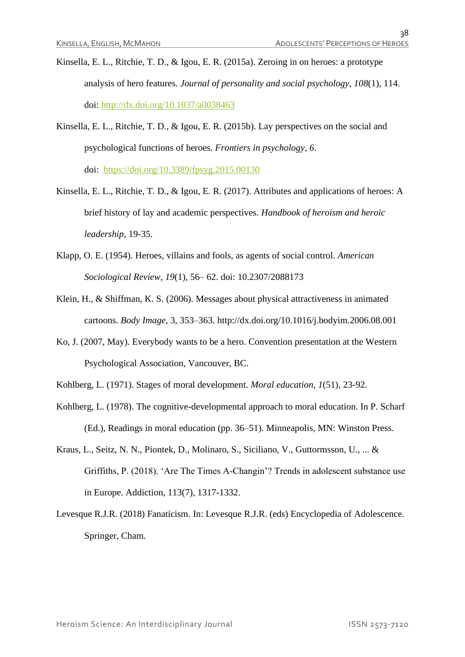- Kinsella, E. L., Ritchie, T. D., & Igou, E. R. (2015a). Zeroing in on heroes: a prototype analysis of hero features. *Journal of personality and social psychology*, *108*(1), 114. doi: [http://dx.doi.org/10.1037/a0038463](http://psycnet.apa.org/doi/10.1037/a0038463)
- Kinsella, E. L., Ritchie, T. D., & Igou, E. R. (2015b). Lay perspectives on the social and psychological functions of heroes. *Frontiers in psychology*, *6*. doi: <https://doi.org/10.3389/fpsyg.2015.00130>
- Kinsella, E. L., Ritchie, T. D., & Igou, E. R. (2017). Attributes and applications of heroes: A brief history of lay and academic perspectives. *Handbook of heroism and heroic leadership*, 19-35.
- Klapp, O. E. (1954). Heroes, villains and fools, as agents of social control. *American Sociological Review*, *19*(1), 56– 62. doi: 10.2307/2088173
- Klein, H., & Shiffman, K. S. (2006). Messages about physical attractiveness in animated cartoons. *Body Image*, 3, 353–363. http://dx.doi.org/10.1016/j.bodyim.2006.08.001
- Ko, J. (2007, May). Everybody wants to be a hero. Convention presentation at the Western Psychological Association, Vancouver, BC.
- Kohlberg, L. (1971). Stages of moral development. *Moral education*, *1*(51), 23-92.
- Kohlberg, L. (1978). The cognitive-developmental approach to moral education. In P. Scharf (Ed.), Readings in moral education (pp. 36–51). Minneapolis, MN: Winston Press.
- Kraus, L., Seitz, N. N., Piontek, D., Molinaro, S., Siciliano, V., Guttormsson, U., ... & Griffiths, P. (2018). 'Are The Times A‐Changin'? Trends in adolescent substance use in Europe. Addiction, 113(7), 1317-1332.
- Levesque R.J.R. (2018) Fanaticism. In: Levesque R.J.R. (eds) Encyclopedia of Adolescence. Springer, Cham.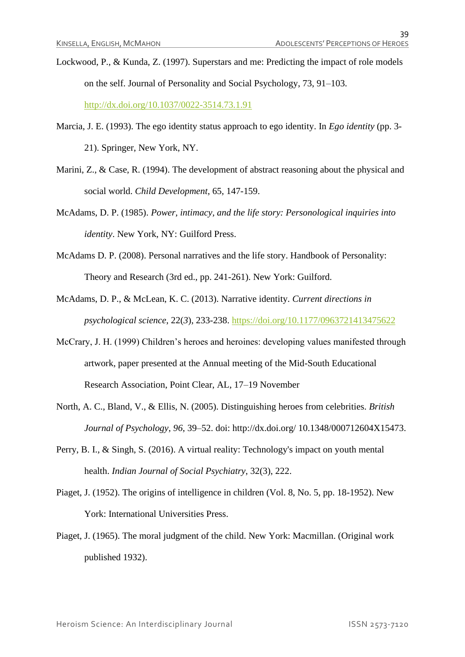Lockwood, P., & Kunda, Z. (1997). Superstars and me: Predicting the impact of role models on the self. Journal of Personality and Social Psychology, 73, 91–103. <http://dx.doi.org/10.1037/0022-3514.73.1.91>

Marcia, J. E. (1993). The ego identity status approach to ego identity. In *Ego identity* (pp. 3- 21). Springer, New York, NY.

- Marini, Z., & Case, R. (1994). The development of abstract reasoning about the physical and social world. *Child Development*, 65, 147-159.
- McAdams, D. P. (1985). *Power, intimacy, and the life story: Personological inquiries into identity*. New York, NY: Guilford Press.
- McAdams D. P. (2008). Personal narratives and the life story. Handbook of Personality: Theory and Research (3rd ed., pp. 241-261). New York: Guilford.
- McAdams, D. P., & McLean, K. C. (2013). Narrative identity. *Current directions in psychological science*, 22(*3*), 233-238. [https://doi.org/10.1177/0963721413475622](https://doi.org/10.1177%2F0963721413475622)
- McCrary, J. H. (1999) Children's heroes and heroines: developing values manifested through artwork, paper presented at the Annual meeting of the Mid-South Educational Research Association, Point Clear, AL, 17–19 November
- North, A. C., Bland, V., & Ellis, N. (2005). Distinguishing heroes from celebrities. *British Journal of Psychology*, *96*, 39–52. doi: http://dx.doi.org/ 10.1348/000712604X15473.
- Perry, B. I., & Singh, S. (2016). A virtual reality: Technology's impact on youth mental health. *Indian Journal of Social Psychiatry*, 32(3), 222.
- Piaget, J. (1952). The origins of intelligence in children (Vol. 8, No. 5, pp. 18-1952). New York: International Universities Press.
- Piaget, J. (1965). The moral judgment of the child. New York: Macmillan. (Original work published 1932).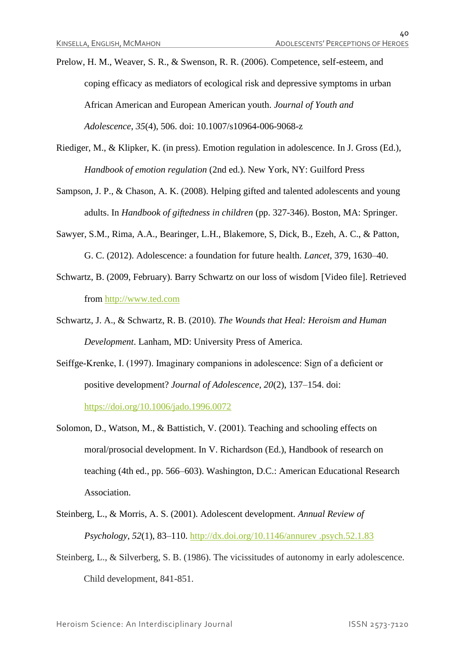Prelow, H. M., Weaver, S. R., & Swenson, R. R. (2006). Competence, self-esteem, and coping efficacy as mediators of ecological risk and depressive symptoms in urban African American and European American youth. *Journal of Youth and Adolescence*, *35*(4), 506. doi: 10.1007/s10964-006-9068-z

- Riediger, M., & Klipker, K. (in press). Emotion regulation in adolescence. In J. Gross (Ed.), *Handbook of emotion regulation* (2nd ed.). New York, NY: Guilford Press
- Sampson, J. P., & Chason, A. K. (2008). Helping gifted and talented adolescents and young adults. In *Handbook of giftedness in children* (pp. 327-346). Boston, MA: Springer.
- Sawyer, S.M., Rima, A.A., Bearinger, L.H., Blakemore, S, Dick, B., Ezeh, A. C., & Patton, G. C. (2012). Adolescence: a foundation for future health. *Lancet*, 379, 1630–40.
- Schwartz, B. (2009, February). Barry Schwartz on our loss of wisdom [Video file]. Retrieved from [http://www.ted.com](http://www.ted.com/)
- Schwartz, J. A., & Schwartz, R. B. (2010). *The Wounds that Heal: Heroism and Human Development*. Lanham, MD: University Press of America.
- Seiffge-Krenke, I. (1997). Imaginary companions in adolescence: Sign of a deficient or positive development? *Journal of Adolescence*, *20*(2), 137–154. doi: <https://doi.org/10.1006/jado.1996.0072>
- Solomon, D., Watson, M., & Battistich, V. (2001). Teaching and schooling effects on moral/prosocial development. In V. Richardson (Ed.), Handbook of research on teaching (4th ed., pp. 566–603). Washington, D.C.: American Educational Research Association.
- Steinberg, L., & Morris, A. S. (2001). Adolescent development. *Annual Review of Psychology*, *52*(1), 83–110. [http://dx.doi.org/10.1146/annurev .psych.52.1.83](http://dx.doi.org/10.1146/annurev%20.psych.52.1.83)
- Steinberg, L., & Silverberg, S. B. (1986). The vicissitudes of autonomy in early adolescence. Child development, 841-851.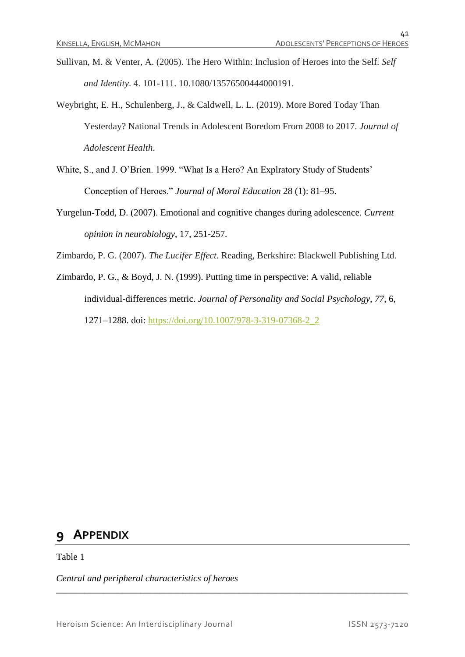- Sullivan, M. & Venter, A. (2005). The Hero Within: Inclusion of Heroes into the Self. *Self and Identity*. 4. 101-111. 10.1080/13576500444000191.
- Weybright, E. H., Schulenberg, J., & Caldwell, L. L. (2019). More Bored Today Than Yesterday? National Trends in Adolescent Boredom From 2008 to 2017. *Journal of Adolescent Health*.
- White, S., and J. O'Brien. 1999. "What Is a Hero? An Explratory Study of Students' Conception of Heroes." *Journal of Moral Education* 28 (1): 81–95.
- Yurgelun-Todd, D. (2007). Emotional and cognitive changes during adolescence. *Current opinion in neurobiology*, 17, 251-257.

Zimbardo, P. G. (2007). *The Lucifer Effect*. Reading, Berkshire: Blackwell Publishing Ltd.

Zimbardo, P. G., & Boyd, J. N. (1999). Putting time in perspective: A valid, reliable individual-differences metric. *Journal of Personality and Social Psychology*, *77*, 6, 1271–1288. doi: [https://doi.org/10.1007/978-3-319-07368-2\\_2](https://doi.org/10.1007/978-3-319-07368-2_2)

\_\_\_\_\_\_\_\_\_\_\_\_\_\_\_\_\_\_\_\_\_\_\_\_\_\_\_\_\_\_\_\_\_\_\_\_\_\_\_\_\_\_\_\_\_\_\_\_\_\_\_\_\_\_\_\_\_\_\_\_\_\_\_\_\_\_\_\_\_\_\_\_\_\_\_

# **9 APPENDIX**

Table 1

*Central and peripheral characteristics of heroes*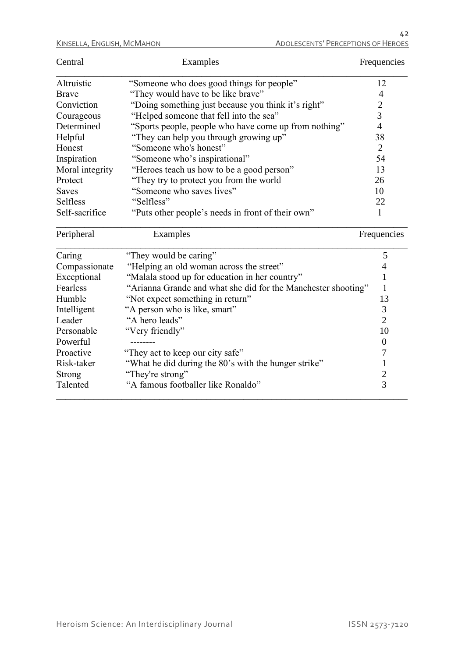| Central                 | Examples                                                                                          | Frequencies      |
|-------------------------|---------------------------------------------------------------------------------------------------|------------------|
| Altruistic              | "Someone who does good things for people"                                                         | 12               |
| <b>Brave</b>            | "They would have to be like brave"                                                                | 4                |
| Conviction              | "Doing something just because you think it's right"                                               | $\overline{c}$   |
| Courageous              | "Helped someone that fell into the sea"                                                           | $\overline{3}$   |
| Determined              | "Sports people, people who have come up from nothing"                                             | $\overline{4}$   |
| Helpful                 | "They can help you through growing up"                                                            | 38               |
| Honest                  | "Someone who's honest"                                                                            | $\overline{2}$   |
| Inspiration             | "Someone who's inspirational"                                                                     | 54               |
| Moral integrity         | "Heroes teach us how to be a good person"                                                         | 13               |
| Protect                 | "They try to protect you from the world                                                           | 26               |
| <b>Saves</b>            | "Someone who saves lives"                                                                         | 10               |
| Selfless                | "Selfless"                                                                                        | 22               |
| Self-sacrifice          | "Puts other people's needs in front of their own"                                                 | 1                |
|                         |                                                                                                   |                  |
| Peripheral              | Examples                                                                                          | Frequencies      |
|                         |                                                                                                   | 5                |
| Caring                  | "They would be caring"                                                                            | $\overline{4}$   |
| Compassionate           | "Helping an old woman across the street"                                                          | $\mathbf{1}$     |
| Exceptional<br>Fearless | "Malala stood up for education in her country"                                                    | $\mathbf{1}$     |
| Humble                  | "Arianna Grande and what she did for the Manchester shooting"<br>"Not expect something in return" | 13               |
|                         | "A person who is like, smart"                                                                     | 3                |
| Intelligent<br>Leader   | "A hero leads"                                                                                    | $\overline{2}$   |
| Personable              | "Very friendly"                                                                                   | 10               |
| Powerful                |                                                                                                   | $\boldsymbol{0}$ |
| Proactive               | "They act to keep our city safe"                                                                  | $\overline{7}$   |
| Risk-taker              |                                                                                                   | $\mathbf{1}$     |
| Strong                  | "What he did during the 80's with the hunger strike"<br>"They're strong"                          | $\frac{2}{3}$    |

\_\_\_\_\_\_\_\_\_\_\_\_\_\_\_\_\_\_\_\_\_\_\_\_\_\_\_\_\_\_\_\_\_\_\_\_\_\_\_\_\_\_\_\_\_\_\_\_\_\_\_\_\_\_\_\_\_\_\_\_\_\_\_\_\_\_\_\_\_\_\_\_\_\_\_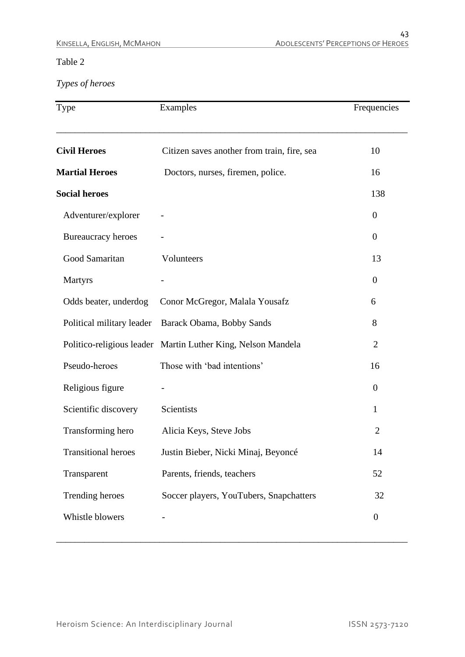#### Table 2

*Types of heroes*

| Type                       | Examples                                                     | Frequencies      |
|----------------------------|--------------------------------------------------------------|------------------|
| <b>Civil Heroes</b>        | Citizen saves another from train, fire, sea                  | 10               |
| <b>Martial Heroes</b>      | Doctors, nurses, firemen, police.                            | 16               |
| <b>Social heroes</b>       |                                                              | 138              |
| Adventurer/explorer        |                                                              | $\overline{0}$   |
| Bureaucracy heroes         |                                                              | $\overline{0}$   |
| Good Samaritan             | Volunteers                                                   | 13               |
| <b>Martyrs</b>             |                                                              | $\overline{0}$   |
| Odds beater, underdog      | Conor McGregor, Malala Yousafz                               | 6                |
| Political military leader  | Barack Obama, Bobby Sands                                    | 8                |
|                            | Politico-religious leader Martin Luther King, Nelson Mandela | $\overline{2}$   |
| Pseudo-heroes              | Those with 'bad intentions'                                  | 16               |
| Religious figure           |                                                              | $\overline{0}$   |
| Scientific discovery       | Scientists                                                   | 1                |
| Transforming hero          | Alicia Keys, Steve Jobs                                      | $\overline{2}$   |
| <b>Transitional heroes</b> | Justin Bieber, Nicki Minaj, Beyoncé                          | 14               |
| Transparent                | Parents, friends, teachers                                   | 52               |
| Trending heroes            | Soccer players, YouTubers, Snapchatters                      | 32               |
| Whistle blowers            |                                                              | $\boldsymbol{0}$ |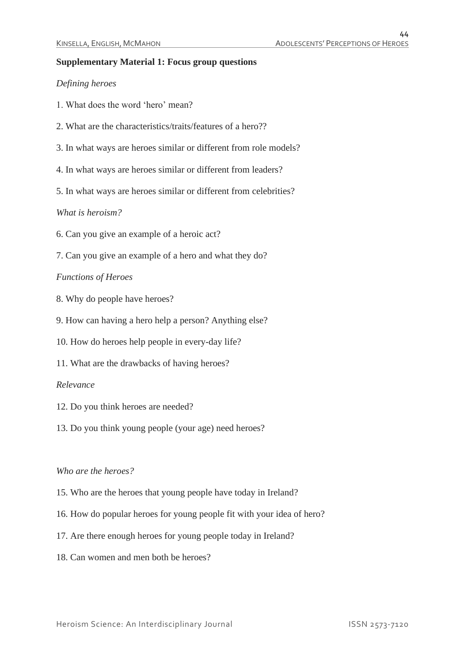#### **Supplementary Material 1: Focus group questions**

#### *Defining heroes*

- 1. What does the word 'hero' mean?
- 2. What are the characteristics/traits/features of a hero??
- 3. In what ways are heroes similar or different from role models?
- 4. In what ways are heroes similar or different from leaders?
- 5. In what ways are heroes similar or different from celebrities?

#### *What is heroism?*

- 6. Can you give an example of a heroic act?
- 7. Can you give an example of a hero and what they do?

#### *Functions of Heroes*

- 8. Why do people have heroes?
- 9. How can having a hero help a person? Anything else?
- 10. How do heroes help people in every-day life?
- 11. What are the drawbacks of having heroes?

#### *Relevance*

- 12. Do you think heroes are needed?
- 13. Do you think young people (your age) need heroes?

#### *Who are the heroes?*

- 15. Who are the heroes that young people have today in Ireland?
- 16. How do popular heroes for young people fit with your idea of hero?
- 17. Are there enough heroes for young people today in Ireland?
- 18. Can women and men both be heroes?